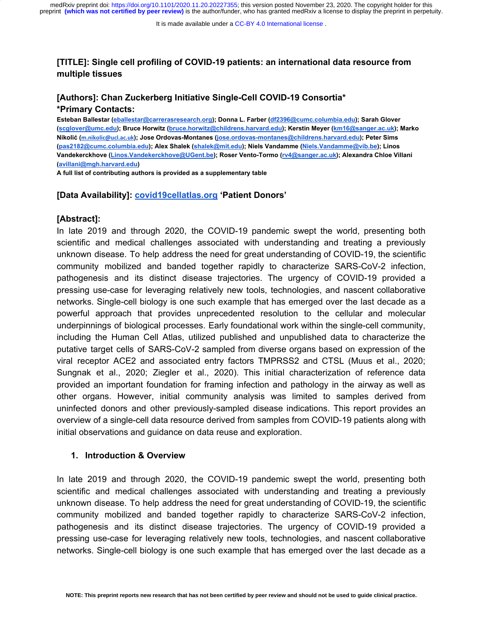## **[TITLE]: Single cell profiling of COVID-19 patients: an international data resource from multiple tissues**

# **[Authors]: Chan Zuckerberg Initiative Single-Cell COVID-19 Consortia\* \*Primary Contacts:**

**Esteban Ballestar ([eballestar@carrerasresearch.org](mailto:eballestar@carrerasresearch.org)); Donna L. Farber ([df2396@cumc.columbia.edu\)](mailto:df2396@cumc.columbia.edu); Sarah Glover ([scglover@umc.edu](mailto:scglover@umc.edu)); Bruce Horwitz [\(bruce.horwitz@childrens.harvard.edu\)](mailto:bruce.horwitz@childrens.harvard.edu); Kerstin Meyer ([km16@sanger.ac.uk\)](mailto:km16@sanger.ac.uk); Marko Nikolić ([m.nikolic@ucl.ac.uk](mailto:m.nikolic@ucl.ac.uk)); Jose Ordovas-Montanes [\(jose.ordovas-montanes@childrens.harvard.edu](mailto:jose.ordovas-montanes@childrens.harvard.edu)); Peter Sims ([pas2182@cumc.columbia.edu](mailto:pas2182@cumc.columbia.edu)); Alex Shalek ([shalek@mit.edu](mailto:shalek@mit.edu)); Niels Vandamme [\(Niels.Vandamme@vib.be](mailto:Niels.Vandamme@vib.be)); Linos Vandekerckhove [\(Linos.Vandekerckhove@UGent.be\)](mailto:Linos.Vandekerckhove@UGent.be); Roser Vento-Tormo ([rv4@sanger.ac.uk\)](mailto:rv4@sanger.ac.uk); Alexandra Chloe Villani ([avillani@mgh.harvard.edu\)](mailto:avillani@mgh.harvard.edu)**

**A full list of contributing authors is provided as a supplementary table**

### **[Data Availability]: [covid19cellatlas.org](https://www.covid19cellatlas.org/) 'Patient Donors'**

#### **[Abstract]:**

In late 2019 and through 2020, the COVID-19 pandemic swept the world, presenting both scientific and medical challenges associated with understanding and treating a previously unknown disease. To help address the need for great understanding of COVID-19, the scientific community mobilized and banded together rapidly to characterize SARS-CoV-2 infection, pathogenesis and its distinct disease trajectories. The urgency of COVID-19 provided a pressing use-case for leveraging relatively new tools, technologies, and nascent collaborative networks. Single-cell biology is one such example that has emerged over the last decade as a powerful approach that provides unprecedented resolution to the cellular and molecular underpinnings of biological processes. Early foundational work within the single-cell community, including the Human Cell Atlas, utilized published and unpublished data to characterize the putative target cells of SARS-CoV-2 sampled from diverse organs based on expression of the viral receptor ACE2 and associated entry factors TMPRSS2 and CTSL (Muus et al., 2020; Sungnak et al., 2020; Ziegler et al., 2020). This initial characterization of reference data provided an important foundation for framing infection and pathology in the airway as well as other organs. However, initial community analysis was limited to samples derived from uninfected donors and other previously-sampled disease indications. This report provides an overview of a single-cell data resource derived from samples from COVID-19 patients along with initial observations and guidance on data reuse and exploration.

## **1. Introduction & Overview**

In late 2019 and through 2020, the COVID-19 pandemic swept the world, presenting both scientific and medical challenges associated with understanding and treating a previously unknown disease. To help address the need for great understanding of COVID-19, the scientific community mobilized and banded together rapidly to characterize SARS-CoV-2 infection, pathogenesis and its distinct disease trajectories. The urgency of COVID-19 provided a pressing use-case for leveraging relatively new tools, technologies, and nascent collaborative networks. Single-cell biology is one such example that has emerged over the last decade as a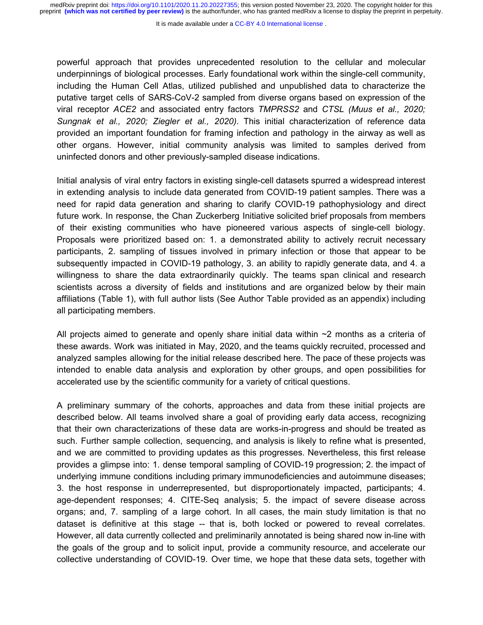powerful approach that provides unprecedented resolution to the cellular and molecular underpinnings of biological processes. Early foundational work within the single-cell community, including the Human Cell Atlas, utilized published and unpublished data to characterize the putative target cells of SARS-CoV-2 sampled from diverse organs based on expression of the viral receptor *ACE2* and associated entry factors *TMPRSS2* and *CTSL (Muus et al., 2020; Sungnak et al., 2020; Ziegler et al., 2020)*. This initial characterization of reference data provided an important foundation for framing infection and pathology in the airway as well as other organs. However, initial community analysis was limited to samples derived from uninfected donors and other previously-sampled disease indications.

Initial analysis of viral entry factors in existing single-cell datasets spurred a widespread interest in extending analysis to include data generated from COVID-19 patient samples. There was a need for rapid data generation and sharing to clarify COVID-19 pathophysiology and direct future work. In response, the Chan Zuckerberg Initiative solicited brief proposals from members of their existing communities who have pioneered various aspects of single-cell biology. Proposals were prioritized based on: 1. a demonstrated ability to actively recruit necessary participants, 2. sampling of tissues involved in primary infection or those that appear to be subsequently impacted in COVID-19 pathology, 3. an ability to rapidly generate data, and 4. a willingness to share the data extraordinarily quickly. The teams span clinical and research scientists across a diversity of fields and institutions and are organized below by their main affiliations (Table 1), with full author lists (See Author Table provided as an appendix) including all participating members.

All projects aimed to generate and openly share initial data within  $\sim$ 2 months as a criteria of these awards. Work was initiated in May, 2020, and the teams quickly recruited, processed and analyzed samples allowing for the initial release described here. The pace of these projects was intended to enable data analysis and exploration by other groups, and open possibilities for accelerated use by the scientific community for a variety of critical questions.

A preliminary summary of the cohorts, approaches and data from these initial projects are described below. All teams involved share a goal of providing early data access, recognizing that their own characterizations of these data are works-in-progress and should be treated as such. Further sample collection, sequencing, and analysis is likely to refine what is presented, and we are committed to providing updates as this progresses. Nevertheless, this first release provides a glimpse into: 1. dense temporal sampling of COVID-19 progression; 2. the impact of underlying immune conditions including primary immunodeficiencies and autoimmune diseases; 3. the host response in underrepresented, but disproportionately impacted, participants; 4. age-dependent responses; 4. CITE-Seq analysis; 5. the impact of severe disease across organs; and, 7. sampling of a large cohort. In all cases, the main study limitation is that no dataset is definitive at this stage -- that is, both locked or powered to reveal correlates. However, all data currently collected and preliminarily annotated is being shared now in-line with the goals of the group and to solicit input, provide a community resource, and accelerate our collective understanding of COVID-19. Over time, we hope that these data sets, together with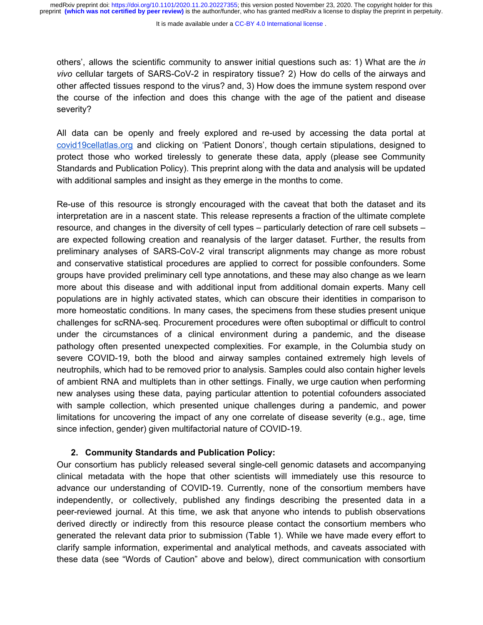It is made available under a CC-BY 4.0 International license.

others', allows the scientific community to answer initial questions such as: 1) What are the *in vivo* cellular targets of SARS-CoV-2 in respiratory tissue? 2) How do cells of the airways and other affected tissues respond to the virus? and, 3) How does the immune system respond over the course of the infection and does this change with the age of the patient and disease severity?

All data can be openly and freely explored and re-used by accessing the data portal at [covid19cellatlas.org](https://www.covid19cellatlas.org/) and clicking on 'Patient Donors', though certain stipulations, designed to protect those who worked tirelessly to generate these data, apply (please see Community Standards and Publication Policy). This preprint along with the data and analysis will be updated with additional samples and insight as they emerge in the months to come.

Re-use of this resource is strongly encouraged with the caveat that both the dataset and its interpretation are in a nascent state. This release represents a fraction of the ultimate complete resource, and changes in the diversity of cell types – particularly detection of rare cell subsets – are expected following creation and reanalysis of the larger dataset. Further, the results from preliminary analyses of SARS-CoV-2 viral transcript alignments may change as more robust and conservative statistical procedures are applied to correct for possible confounders. Some groups have provided preliminary cell type annotations, and these may also change as we learn more about this disease and with additional input from additional domain experts. Many cell populations are in highly activated states, which can obscure their identities in comparison to more homeostatic conditions. In many cases, the specimens from these studies present unique challenges for scRNA-seq. Procurement procedures were often suboptimal or difficult to control under the circumstances of a clinical environment during a pandemic, and the disease pathology often presented unexpected complexities. For example, in the Columbia study on severe COVID-19, both the blood and airway samples contained extremely high levels of neutrophils, which had to be removed prior to analysis. Samples could also contain higher levels of ambient RNA and multiplets than in other settings. Finally, we urge caution when performing new analyses using these data, paying particular attention to potential cofounders associated with sample collection, which presented unique challenges during a pandemic, and power limitations for uncovering the impact of any one correlate of disease severity (e.g., age, time since infection, gender) given multifactorial nature of COVID-19.

## **2. Community Standards and Publication Policy:**

Our consortium has publicly released several single-cell genomic datasets and accompanying clinical metadata with the hope that other scientists will immediately use this resource to advance our understanding of COVID-19. Currently, none of the consortium members have independently, or collectively, published any findings describing the presented data in a peer-reviewed journal. At this time, we ask that anyone who intends to publish observations derived directly or indirectly from this resource please contact the consortium members who generated the relevant data prior to submission (Table 1). While we have made every effort to clarify sample information, experimental and analytical methods, and caveats associated with these data (see "Words of Caution" above and below), direct communication with consortium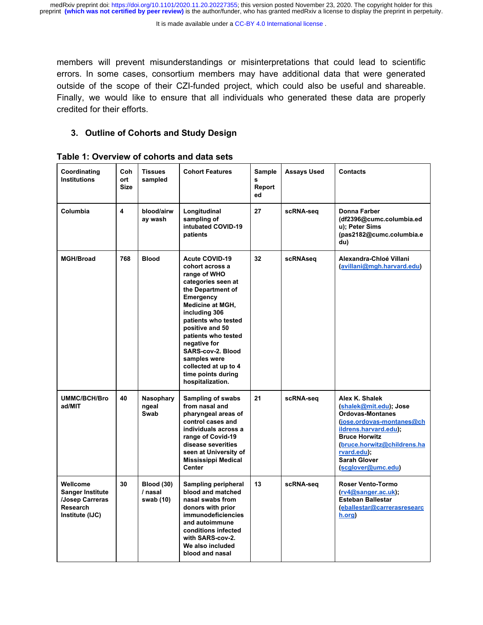It is made available under a CC-BY 4.0 International license.

members will prevent misunderstandings or misinterpretations that could lead to scientific errors. In some cases, consortium members may have additional data that were generated outside of the scope of their CZI-funded project, which could also be useful and shareable. Finally, we would like to ensure that all individuals who generated these data are properly credited for their efforts.

# **3. Outline of Cohorts and Study Design**

| Coordinating<br><b>Institutions</b>                                                         | Coh<br>ort<br><b>Size</b> | <b>Tissues</b><br>sampled                 | <b>Cohort Features</b>                                                                                                                                                                                                                                                                                                                               | Sample<br>s<br>Report<br>ed | <b>Assays Used</b> | <b>Contacts</b>                                                                                                                                                                                                                              |
|---------------------------------------------------------------------------------------------|---------------------------|-------------------------------------------|------------------------------------------------------------------------------------------------------------------------------------------------------------------------------------------------------------------------------------------------------------------------------------------------------------------------------------------------------|-----------------------------|--------------------|----------------------------------------------------------------------------------------------------------------------------------------------------------------------------------------------------------------------------------------------|
| Columbia                                                                                    | 4                         | blood/airw<br>ay wash                     | Longitudinal<br>sampling of<br>intubated COVID-19<br>patients                                                                                                                                                                                                                                                                                        | 27                          | scRNA-seq          | Donna Farber<br>(df2396@cumc.columbia.ed<br>u); Peter Sims<br>(pas2182@cumc.columbia.e<br>du)                                                                                                                                                |
| <b>MGH/Broad</b>                                                                            | 768                       | <b>Blood</b>                              | <b>Acute COVID-19</b><br>cohort across a<br>range of WHO<br>categories seen at<br>the Department of<br>Emergency<br><b>Medicine at MGH,</b><br>including 306<br>patients who tested<br>positive and 50<br>patients who tested<br>negative for<br>SARS-cov-2. Blood<br>samples were<br>collected at up to 4<br>time points during<br>hospitalization. | 32                          | scRNAseq           | Alexandra-Chloé Villani<br>(avillani@mgh.harvard.edu)                                                                                                                                                                                        |
| <b>UMMC/BCH/Bro</b><br>ad/MIT                                                               | 40                        | Nasophary<br>ngeal<br>Swab                | Sampling of swabs<br>from nasal and<br>pharyngeal areas of<br>control cases and<br>individuals across a<br>range of Covid-19<br>disease severities<br>seen at University of<br><b>Mississippi Medical</b><br><b>Center</b>                                                                                                                           | 21                          | scRNA-seq          | Alex K. Shalek<br>(shalek@mit.edu); Jose<br><b>Ordovas-Montanes</b><br>(jose.ordovas-montanes@ch<br>ildrens.harvard.edu);<br><b>Bruce Horwitz</b><br>(bruce.horwitz@childrens.ha<br>rvard.edu);<br><b>Sarah Glover</b><br>(scglover@umc.edu) |
| Wellcome<br><b>Sanger Institute</b><br><b>Josep Carreras</b><br>Research<br>Institute (IJC) | 30                        | <b>Blood (30)</b><br>/ nasal<br>swab (10) | Sampling peripheral<br>blood and matched<br>nasal swabs from<br>donors with prior<br><b>immunodeficiencies</b><br>and autoimmune<br>conditions infected<br>with SARS-cov-2.<br>We also included<br>blood and nasal                                                                                                                                   | 13                          | scRNA-seq          | <b>Roser Vento-Tormo</b><br>$(rv4@sanger.ac.uk)$ ;<br><b>Esteban Ballestar</b><br>(eballestar@carrerasresearc<br>h.org)                                                                                                                      |

**Table 1: Overview of cohorts and data sets**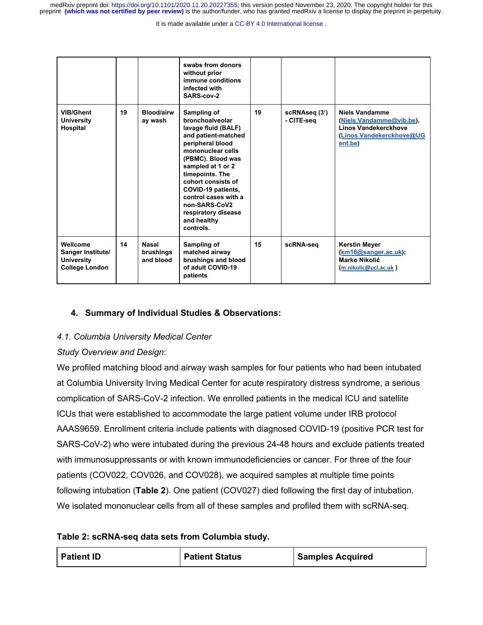It is made available under a CC-BY 4.0 International license.

|                                                                             |    |                                        | swabs from donors<br>without prior<br>immune conditions<br>infected with<br>SARS-cov-2                                                                                                                                                                                                                                     |    |                             |                                                                                                                  |
|-----------------------------------------------------------------------------|----|----------------------------------------|----------------------------------------------------------------------------------------------------------------------------------------------------------------------------------------------------------------------------------------------------------------------------------------------------------------------------|----|-----------------------------|------------------------------------------------------------------------------------------------------------------|
| <b>VIB/Ghent</b><br><b>University</b><br>Hospital                           | 19 | Blood/airw<br>ay wash                  | Sampling of<br>bronchoalveolar<br>lavage fluid (BALF)<br>and patient-matched<br>peripheral blood<br>mononuclear cells<br>(PBMC). Blood was<br>sampled at 1 or 2<br>timepoints. The<br>cohort consists of<br>COVID-19 patients,<br>control cases with a<br>non-SARS-CoV2<br>respiratory disease<br>and healthy<br>controls. | 19 | scRNAseq (3')<br>- CITE-seg | <b>Niels Vandamme</b><br>(Niels.Vandamme@vib.be),<br>Linos Vandekerckhove<br>(Linos.Vandekerckhove@UG<br>ent.be) |
| Wellcome<br>Sanger Institute/<br><b>University</b><br><b>College London</b> | 14 | <b>Nasal</b><br>brushings<br>and blood | Sampling of<br>matched airway<br>brushings and blood<br>of adult COVID-19<br>patients                                                                                                                                                                                                                                      | 15 | scRNA-seq                   | <b>Kerstin Meyer</b><br>(km16@sanger.ac.uk);<br>Marko Nikolić<br>(m.nikolic@ucl.ac.uk)                           |

# **4. Summary of Individual Studies & Observations:**

## *4.1. Columbia University Medical Center*

## *Study Overview and Design*:

We profiled matching blood and airway wash samples for four patients who had been intubated at Columbia University Irving Medical Center for acute respiratory distress syndrome, a serious complication of SARS-CoV-2 infection. We enrolled patients in the medical ICU and satellite ICUs that were established to accommodate the large patient volume under IRB protocol AAAS9659. Enrollment criteria include patients with diagnosed COVID-19 (positive PCR test for SARS-CoV-2) who were intubated during the previous 24-48 hours and exclude patients treated with immunosuppressants or with known immunodeficiencies or cancer. For three of the four patients (COV022, COV026, and COV028), we acquired samples at multiple time points following intubation (**Table 2**). One patient (COV027) died following the first day of intubation. We isolated mononuclear cells from all of these samples and profiled them with scRNA-seq.

## **Table 2: scRNA-seq data sets from Columbia study.**

| <b>Patient ID</b> | <b>Patient Status</b> | <b>Samples Acquired</b> |
|-------------------|-----------------------|-------------------------|
|-------------------|-----------------------|-------------------------|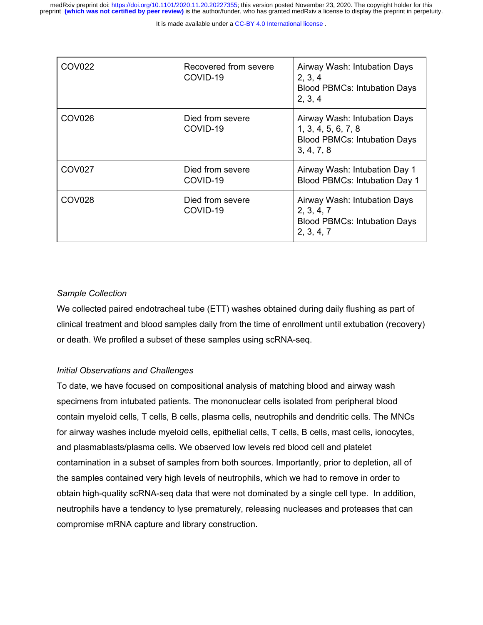It is made available under a CC-BY 4.0 International license.

| COV <sub>022</sub> | Recovered from severe<br>COVID-19 | Airway Wash: Intubation Days<br>2, 3, 4<br><b>Blood PBMCs: Intubation Days</b><br>2, 3, 4                |
|--------------------|-----------------------------------|----------------------------------------------------------------------------------------------------------|
| COV <sub>026</sub> | Died from severe<br>COVID-19      | Airway Wash: Intubation Days<br>1, 3, 4, 5, 6, 7, 8<br><b>Blood PBMCs: Intubation Days</b><br>3, 4, 7, 8 |
| <b>COV027</b>      | Died from severe<br>COVID-19      | Airway Wash: Intubation Day 1<br>Blood PBMCs: Intubation Day 1                                           |
| COV <sub>028</sub> | Died from severe<br>COVID-19      | Airway Wash: Intubation Days<br>2, 3, 4, 7<br><b>Blood PBMCs: Intubation Days</b><br>2, 3, 4, 7          |

## *Sample Collection*

We collected paired endotracheal tube (ETT) washes obtained during daily flushing as part of clinical treatment and blood samples daily from the time of enrollment until extubation (recovery) or death. We profiled a subset of these samples using scRNA-seq.

## *Initial Observations and Challenges*

To date, we have focused on compositional analysis of matching blood and airway wash specimens from intubated patients. The mononuclear cells isolated from peripheral blood contain myeloid cells, T cells, B cells, plasma cells, neutrophils and dendritic cells. The MNCs for airway washes include myeloid cells, epithelial cells, T cells, B cells, mast cells, ionocytes, and plasmablasts/plasma cells. We observed low levels red blood cell and platelet contamination in a subset of samples from both sources. Importantly, prior to depletion, all of the samples contained very high levels of neutrophils, which we had to remove in order to obtain high-quality scRNA-seq data that were not dominated by a single cell type. In addition, neutrophils have a tendency to lyse prematurely, releasing nucleases and proteases that can compromise mRNA capture and library construction.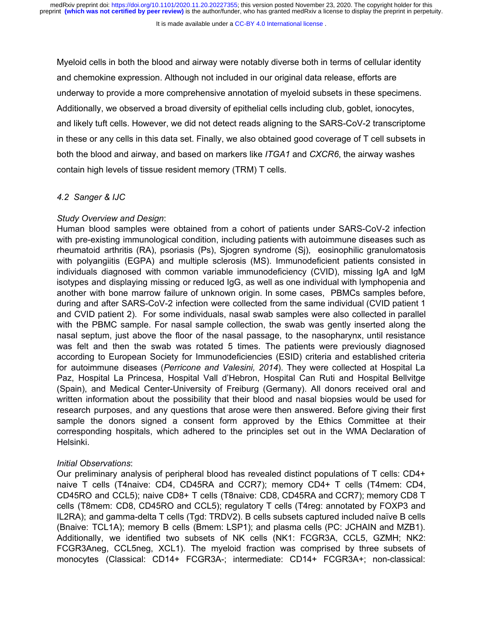Myeloid cells in both the blood and airway were notably diverse both in terms of cellular identity and chemokine expression. Although not included in our original data release, efforts are underway to provide a more comprehensive annotation of myeloid subsets in these specimens. Additionally, we observed a broad diversity of epithelial cells including club, goblet, ionocytes, and likely tuft cells. However, we did not detect reads aligning to the SARS-CoV-2 transcriptome in these or any cells in this data set. Finally, we also obtained good coverage of T cell subsets in both the blood and airway, and based on markers like *ITGA1* and *CXCR6*, the airway washes contain high levels of tissue resident memory (TRM) T cells.

### *4.2 Sanger & IJC*

#### *Study Overview and Design*:

Human blood samples were obtained from a cohort of patients under SARS-CoV-2 infection with pre-existing immunological condition, including patients with autoimmune diseases such as rheumatoid arthritis (RA), psoriasis (Ps), Sjogren syndrome (Sj), eosinophilic granulomatosis with polyangiitis (EGPA) and multiple sclerosis (MS). Immunodeficient patients consisted in individuals diagnosed with common variable immunodeficiency (CVID), missing IgA and IgM isotypes and displaying missing or reduced IgG, as well as one individual with lymphopenia and another with bone marrow failure of unknown origin. In some cases, PBMCs samples before, during and after SARS-CoV-2 infection were collected from the same individual (CVID patient 1 and CVID patient 2). For some individuals, nasal swab samples were also collected in parallel with the PBMC sample. For nasal sample collection, the swab was gently inserted along the nasal septum, just above the floor of the nasal passage, to the nasopharynx, until resistance was felt and then the swab was rotated 5 times. The patients were previously diagnosed according to European Society for Immunodeficiencies (ESID) criteria and established criteria for autoimmune diseases (*Perricone and Valesini, 2014*). They were collected at Hospital La Paz, Hospital La Princesa, Hospital Vall d'Hebron, Hospital Can Ruti and Hospital Bellvitge (Spain), and Medical Center-University of Freiburg (Germany). All donors received oral and written information about the possibility that their blood and nasal biopsies would be used for research purposes, and any questions that arose were then answered. Before giving their first sample the donors signed a consent form approved by the Ethics Committee at their corresponding hospitals, which adhered to the principles set out in the WMA Declaration of Helsinki.

#### *Initial Observations*:

Our preliminary analysis of peripheral blood has revealed distinct populations of T cells: CD4+ naive T cells (T4naive: CD4, CD45RA and CCR7); memory CD4+ T cells (T4mem: CD4, CD45RO and CCL5); naive CD8+ T cells (T8naive: CD8, CD45RA and CCR7); memory CD8 T cells (T8mem: CD8, CD45RO and CCL5); regulatory T cells (T4reg: annotated by FOXP3 and IL2RA); and gamma-delta T cells (Tgd: TRDV2). B cells subsets captured included naïve B cells (Bnaive: TCL1A); memory B cells (Bmem: LSP1); and plasma cells (PC: JCHAIN and MZB1). Additionally, we identified two subsets of NK cells (NK1: FCGR3A, CCL5, GZMH; NK2: FCGR3Aneg, CCL5neg, XCL1). The myeloid fraction was comprised by three subsets of monocytes (Classical: CD14+ FCGR3A-; intermediate: CD14+ FCGR3A+; non-classical: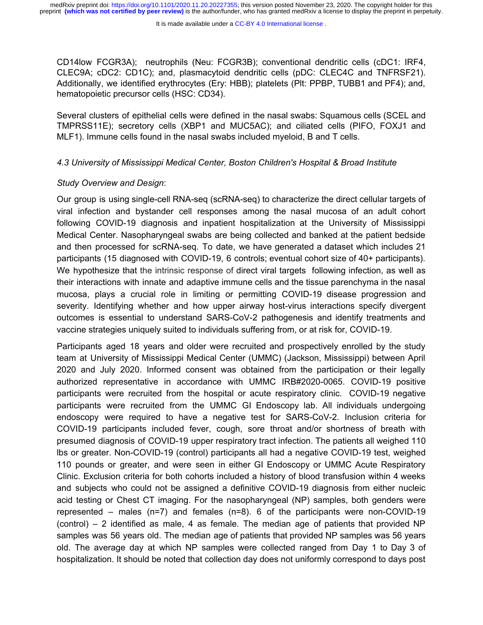CD14low FCGR3A); neutrophils (Neu: FCGR3B); conventional dendritic cells (cDC1: IRF4, CLEC9A; cDC2: CD1C); and, plasmacytoid dendritic cells (pDC: CLEC4C and TNFRSF21). Additionally, we identified erythrocytes (Ery: HBB); platelets (Plt: PPBP, TUBB1 and PF4); and, hematopoietic precursor cells (HSC: CD34).

Several clusters of epithelial cells were defined in the nasal swabs: Squamous cells (SCEL and TMPRSS11E); secretory cells (XBP1 and MUC5AC); and ciliated cells (PIFO, FOXJ1 and MLF1). Immune cells found in the nasal swabs included myeloid, B and T cells.

### *4.3 University of Mississippi Medical Center, Boston Children's Hospital & Broad Institute*

### *Study Overview and Design*:

Our group is using single-cell RNA-seq (scRNA-seq) to characterize the direct cellular targets of viral infection and bystander cell responses among the nasal mucosa of an adult cohort following COVID-19 diagnosis and inpatient hospitalization at the University of Mississippi Medical Center. Nasopharyngeal swabs are being collected and banked at the patient bedside and then processed for scRNA-seq. To date, we have generated a dataset which includes 21 participants (15 diagnosed with COVID-19, 6 controls; eventual cohort size of 40+ participants). We hypothesize that the intrinsic response of direct viral targets following infection, as well as their interactions with innate and adaptive immune cells and the tissue parenchyma in the nasal mucosa, plays a crucial role in limiting or permitting COVID-19 disease progression and severity. Identifying whether and how upper airway host-virus interactions specify divergent outcomes is essential to understand SARS-CoV-2 pathogenesis and identify treatments and vaccine strategies uniquely suited to individuals suffering from, or at risk for, COVID-19.

Participants aged 18 years and older were recruited and prospectively enrolled by the study team at University of Mississippi Medical Center (UMMC) (Jackson, Mississippi) between April 2020 and July 2020. Informed consent was obtained from the participation or their legally authorized representative in accordance with UMMC IRB#2020-0065. COVID-19 positive participants were recruited from the hospital or acute respiratory clinic. COVID-19 negative participants were recruited from the UMMC GI Endoscopy lab. All individuals undergoing endoscopy were required to have a negative test for SARS-CoV-2. Inclusion criteria for COVID-19 participants included fever, cough, sore throat and/or shortness of breath with presumed diagnosis of COVID-19 upper respiratory tract infection. The patients all weighed 110 lbs or greater. Non-COVID-19 (control) participants all had a negative COVID-19 test, weighed 110 pounds or greater, and were seen in either GI Endoscopy or UMMC Acute Respiratory Clinic. Exclusion criteria for both cohorts included a history of blood transfusion within 4 weeks and subjects who could not be assigned a definitive COVID-19 diagnosis from either nucleic acid testing or Chest CT imaging. For the nasopharyngeal (NP) samples, both genders were represented – males (n=7) and females (n=8). 6 of the participants were non-COVID-19 (control) – 2 identified as male, 4 as female. The median age of patients that provided NP samples was 56 years old. The median age of patients that provided NP samples was 56 years old. The average day at which NP samples were collected ranged from Day 1 to Day 3 of hospitalization. It should be noted that collection day does not uniformly correspond to days post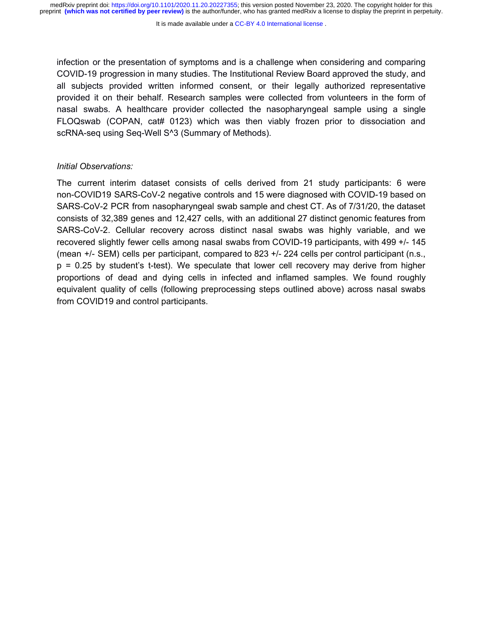infection or the presentation of symptoms and is a challenge when considering and comparing COVID-19 progression in many studies. The Institutional Review Board approved the study, and all subjects provided written informed consent, or their legally authorized representative provided it on their behalf. Research samples were collected from volunteers in the form of nasal swabs. A healthcare provider collected the nasopharyngeal sample using a single FLOQswab (COPAN, cat# 0123) which was then viably frozen prior to dissociation and scRNA-seq using Seq-Well S^3 (Summary of Methods).

#### *Initial Observations:*

The current interim dataset consists of cells derived from 21 study participants: 6 were non-COVID19 SARS-CoV-2 negative controls and 15 were diagnosed with COVID-19 based on SARS-CoV-2 PCR from nasopharyngeal swab sample and chest CT. As of 7/31/20, the dataset consists of 32,389 genes and 12,427 cells, with an additional 27 distinct genomic features from SARS-CoV-2. Cellular recovery across distinct nasal swabs was highly variable, and we recovered slightly fewer cells among nasal swabs from COVID-19 participants, with 499 +/- 145 (mean +/- SEM) cells per participant, compared to 823 +/- 224 cells per control participant (n.s., p = 0.25 by student's t-test). We speculate that lower cell recovery may derive from higher proportions of dead and dying cells in infected and inflamed samples. We found roughly equivalent quality of cells (following preprocessing steps outlined above) across nasal swabs from COVID19 and control participants.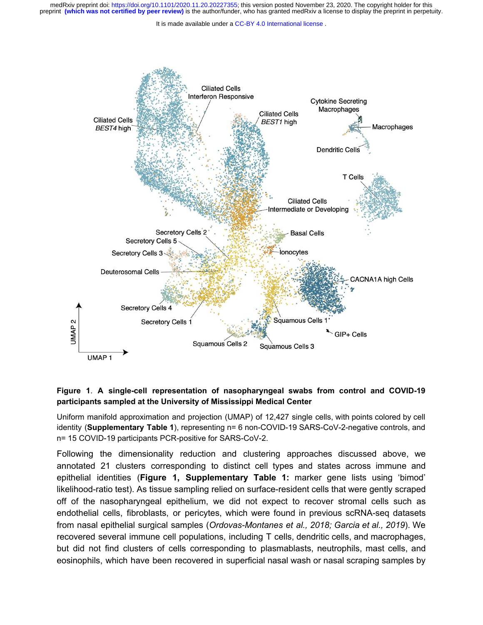It is made available under a CC-BY 4.0 International license.



## **Figure 1**. **A single-cell representation of nasopharyngeal swabs from control and COVID-19 participants sampled at the University of Mississippi Medical Center**

Uniform manifold approximation and projection (UMAP) of 12,427 single cells, with points colored by cell identity (**Supplementary Table 1**), representing n= 6 non-COVID-19 SARS-CoV-2-negative controls, and n= 15 COVID-19 participants PCR-positive for SARS-CoV-2.

Following the dimensionality reduction and clustering approaches discussed above, we annotated 21 clusters corresponding to distinct cell types and states across immune and epithelial identities (**Figure 1, Supplementary Table 1:** marker gene lists using 'bimod' likelihood-ratio test). As tissue sampling relied on surface-resident cells that were gently scraped off of the nasopharyngeal epithelium, we did not expect to recover stromal cells such as endothelial cells, fibroblasts, or pericytes, which were found in previous scRNA-seq datasets from nasal epithelial surgical samples (*Ordovas-Montanes et al., 2018; Garcia et al., 2019*). We recovered several immune cell populations, including T cells, dendritic cells, and macrophages, but did not find clusters of cells corresponding to plasmablasts, neutrophils, mast cells, and eosinophils, which have been recovered in superficial nasal wash or nasal scraping samples by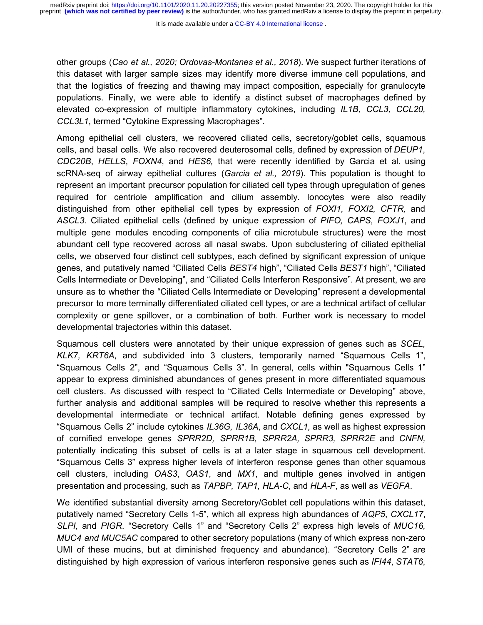It is made available under a CC-BY 4.0 International license.

other groups (*Cao et al., 2020; Ordovas-Montanes et al., 2018*). We suspect further iterations of this dataset with larger sample sizes may identify more diverse immune cell populations, and that the logistics of freezing and thawing may impact composition, especially for granulocyte populations. Finally, we were able to identify a distinct subset of macrophages defined by elevated co-expression of multiple inflammatory cytokines, including *IL1B, CCL3, CCL20, CCL3L1*, termed "Cytokine Expressing Macrophages".

Among epithelial cell clusters, we recovered ciliated cells, secretory/goblet cells, squamous cells, and basal cells. We also recovered deuterosomal cells, defined by expression of *DEUP1*, *CDC20B*, *HELLS*, *FOXN4*, and *HES6,* that were recently identified by Garcia et al. using scRNA-seq of airway epithelial cultures (*Garcia et al., 2019*). This population is thought to represent an important precursor population for ciliated cell types through upregulation of genes required for centriole amplification and cilium assembly. Ionocytes were also readily distinguished from other epithelial cell types by expression of *FOXI1, FOXI2, CFTR,* and *ASCL3*. Ciliated epithelial cells (defined by unique expression of *PIFO, CAPS, FOXJ1*, and multiple gene modules encoding components of cilia microtubule structures) were the most abundant cell type recovered across all nasal swabs. Upon subclustering of ciliated epithelial cells, we observed four distinct cell subtypes, each defined by significant expression of unique genes, and putatively named "Ciliated Cells *BEST4* high", "Ciliated Cells *BEST1* high", "Ciliated Cells Intermediate or Developing", and "Ciliated Cells Interferon Responsive". At present, we are unsure as to whether the "Ciliated Cells Intermediate or Developing" represent a developmental precursor to more terminally differentiated ciliated cell types, or are a technical artifact of cellular complexity or gene spillover, or a combination of both. Further work is necessary to model developmental trajectories within this dataset.

Squamous cell clusters were annotated by their unique expression of genes such as *SCEL, KLK7, KRT6A*, and subdivided into 3 clusters, temporarily named "Squamous Cells 1", "Squamous Cells 2", and "Squamous Cells 3". In general, cells within "Squamous Cells 1" appear to express diminished abundances of genes present in more differentiated squamous cell clusters. As discussed with respect to "Ciliated Cells Intermediate or Developing" above, further analysis and additional samples will be required to resolve whether this represents a developmental intermediate or technical artifact. Notable defining genes expressed by "Squamous Cells 2" include cytokines *IL36G, IL36A*, and *CXCL1,* as well as highest expression of cornified envelope genes *SPRR2D, SPRR1B, SPRR2A, SPRR3, SPRR2E* and *CNFN,* potentially indicating this subset of cells is at a later stage in squamous cell development. "Squamous Cells 3" express higher levels of interferon response genes than other squamous cell clusters, including *OAS3*, *OAS1*, and *MX1*, and multiple genes involved in antigen presentation and processing, such as *TAPBP, TAP1, HLA-C*, and *HLA-F*, as well as *VEGFA*.

We identified substantial diversity among Secretory/Goblet cell populations within this dataset, putatively named "Secretory Cells 1-5", which all express high abundances of *AQP5*, *CXCL17*, *SLPI*, and *PIGR*. "Secretory Cells 1" and "Secretory Cells 2" express high levels of *MUC16, MUC4 and MUC5AC* compared to other secretory populations (many of which express non-zero UMI of these mucins, but at diminished frequency and abundance). "Secretory Cells 2" are distinguished by high expression of various interferon responsive genes such as *IFI44*, *STAT6*,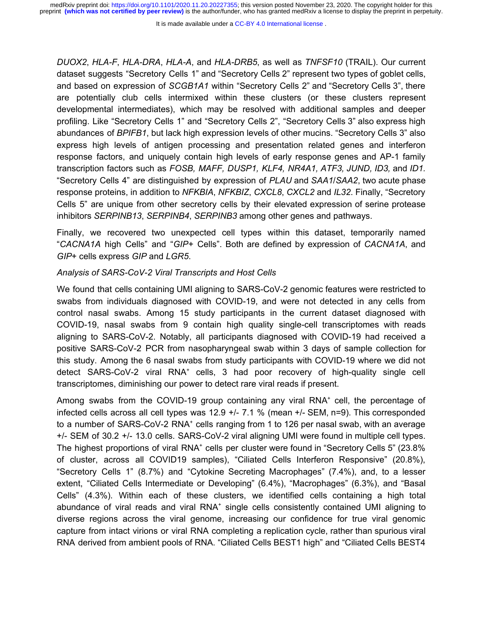It is made available under a CC-BY 4.0 International license.

*DUOX2*, *HLA-F*, *HLA-DRA*, *HLA-A*, and *HLA-DRB5*, as well as *TNFSF10* (TRAIL). Our current dataset suggests "Secretory Cells 1" and "Secretory Cells 2" represent two types of goblet cells, and based on expression of *SCGB1A1* within "Secretory Cells 2" and "Secretory Cells 3", there are potentially club cells intermixed within these clusters (or these clusters represent developmental intermediates), which may be resolved with additional samples and deeper profiling. Like "Secretory Cells 1" and "Secretory Cells 2", "Secretory Cells 3" also express high abundances of *BPIFB1*, but lack high expression levels of other mucins. "Secretory Cells 3" also express high levels of antigen processing and presentation related genes and interferon response factors, and uniquely contain high levels of early response genes and AP-1 family transcription factors such as *FOSB, MAFF, DUSP1, KLF4, NR4A1, ATF3, JUND, ID3,* and *ID1.* "Secretory Cells 4" are distinguished by expression of *PLAU* and *SAA1*/*SAA2*, two acute phase response proteins, in addition to *NFKBIA*, *NFKBIZ*, *CXCL8*, *CXCL2* and *IL32*. Finally, "Secretory Cells 5" are unique from other secretory cells by their elevated expression of serine protease inhibitors *SERPINB13*, *SERPINB4*, *SERPINB3* among other genes and pathways.

Finally, we recovered two unexpected cell types within this dataset, temporarily named "*CACNA1A* high Cells" and "*GIP+* Cells". Both are defined by expression of *CACNA1A*, and *GIP*+ cells express *GIP* and *LGR5*.

## *Analysis of SARS-CoV-2 Viral Transcripts and Host Cells*

We found that cells containing UMI aligning to SARS-CoV-2 genomic features were restricted to swabs from individuals diagnosed with COVID-19, and were not detected in any cells from control nasal swabs. Among 15 study participants in the current dataset diagnosed with COVID-19, nasal swabs from 9 contain high quality single-cell transcriptomes with reads aligning to SARS-CoV-2. Notably, all participants diagnosed with COVID-19 had received a positive SARS-CoV-2 PCR from nasopharyngeal swab within 3 days of sample collection for this study. Among the 6 nasal swabs from study participants with COVID-19 where we did not detect SARS-CoV-2 viral RNA<sup>+</sup> cells, 3 had poor recovery of high-quality single cell transcriptomes, diminishing our power to detect rare viral reads if present.

Among swabs from the COVID-19 group containing any viral  $RNA<sup>+</sup>$  cell, the percentage of infected cells across all cell types was 12.9 +/- 7.1 % (mean +/- SEM, n=9). This corresponded to a number of SARS-CoV-2 RNA<sup>+</sup> cells ranging from 1 to 126 per nasal swab, with an average +/- SEM of 30.2 +/- 13.0 cells. SARS-CoV-2 viral aligning UMI were found in multiple cell types. The highest proportions of viral RNA<sup>+</sup> cells per cluster were found in "Secretory Cells 5" (23.8%) of cluster, across all COVID19 samples), "Ciliated Cells Interferon Responsive" (20.8%), "Secretory Cells 1" (8.7%) and "Cytokine Secreting Macrophages" (7.4%), and, to a lesser extent, "Ciliated Cells Intermediate or Developing" (6.4%), "Macrophages" (6.3%), and "Basal Cells" (4.3%). Within each of these clusters, we identified cells containing a high total abundance of viral reads and viral RNA<sup>+</sup> single cells consistently contained UMI aligning to diverse regions across the viral genome, increasing our confidence for true viral genomic capture from intact virions or viral RNA completing a replication cycle, rather than spurious viral RNA derived from ambient pools of RNA. "Ciliated Cells BEST1 high" and "Ciliated Cells BEST4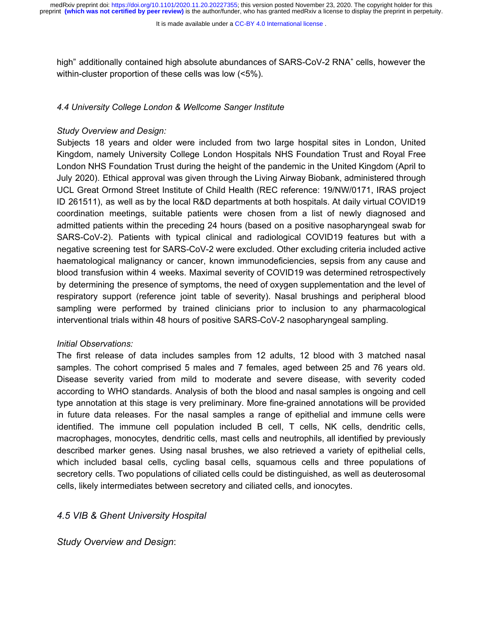It is made available under a CC-BY 4.0 International license.

high" additionally contained high absolute abundances of SARS-CoV-2 RNA<sup>+</sup> cells, however the within-cluster proportion of these cells was low (<5%).

## *4.4 University College London & Wellcome Sanger Institute*

## *Study Overview and Design:*

Subjects 18 years and older were included from two large hospital sites in London, United Kingdom, namely University College London Hospitals NHS Foundation Trust and Royal Free London NHS Foundation Trust during the height of the pandemic in the United Kingdom (April to July 2020). Ethical approval was given through the Living Airway Biobank, administered through UCL Great Ormond Street Institute of Child Health (REC reference: 19/NW/0171, IRAS project ID 261511), as well as by the local R&D departments at both hospitals. At daily virtual COVID19 coordination meetings, suitable patients were chosen from a list of newly diagnosed and admitted patients within the preceding 24 hours (based on a positive nasopharyngeal swab for SARS-CoV-2). Patients with typical clinical and radiological COVID19 features but with a negative screening test for SARS-CoV-2 were excluded. Other excluding criteria included active haematological malignancy or cancer, known immunodeficiencies, sepsis from any cause and blood transfusion within 4 weeks. Maximal severity of COVID19 was determined retrospectively by determining the presence of symptoms, the need of oxygen supplementation and the level of respiratory support (reference joint table of severity). Nasal brushings and peripheral blood sampling were performed by trained clinicians prior to inclusion to any pharmacological interventional trials within 48 hours of positive SARS-CoV-2 nasopharyngeal sampling.

## *Initial Observations:*

The first release of data includes samples from 12 adults, 12 blood with 3 matched nasal samples. The cohort comprised 5 males and 7 females, aged between 25 and 76 years old. Disease severity varied from mild to moderate and severe disease, with severity coded according to WHO standards. Analysis of both the blood and nasal samples is ongoing and cell type annotation at this stage is very preliminary. More fine-grained annotations will be provided in future data releases. For the nasal samples a range of epithelial and immune cells were identified. The immune cell population included B cell, T cells, NK cells, dendritic cells, macrophages, monocytes, dendritic cells, mast cells and neutrophils, all identified by previously described marker genes. Using nasal brushes, we also retrieved a variety of epithelial cells, which included basal cells, cycling basal cells, squamous cells and three populations of secretory cells. Two populations of ciliated cells could be distinguished, as well as deuterosomal cells, likely intermediates between secretory and ciliated cells, and ionocytes.

## *4.5 VIB & Ghent University Hospital*

*Study Overview and Design*: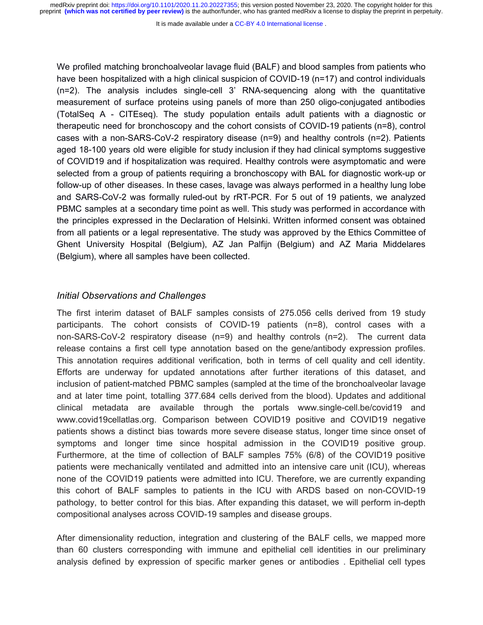It is made available under a CC-BY 4.0 International license.

We profiled matching bronchoalveolar lavage fluid (BALF) and blood samples from patients who have been hospitalized with a high clinical suspicion of COVID-19 (n=17) and control individuals (n=2). The analysis includes single-cell 3' RNA-sequencing along with the quantitative measurement of surface proteins using panels of more than 250 oligo-conjugated antibodies (TotalSeq A - CITEseq). The study population entails adult patients with a diagnostic or therapeutic need for bronchoscopy and the cohort consists of COVID-19 patients (n=8), control cases with a non-SARS-CoV-2 respiratory disease (n=9) and healthy controls (n=2). Patients aged 18-100 years old were eligible for study inclusion if they had clinical symptoms suggestive of COVID19 and if hospitalization was required. Healthy controls were asymptomatic and were selected from a group of patients requiring a bronchoscopy with BAL for diagnostic work-up or follow-up of other diseases. In these cases, lavage was always performed in a healthy lung lobe and SARS-CoV-2 was formally ruled-out by rRT-PCR. For 5 out of 19 patients, we analyzed PBMC samples at a secondary time point as well. This study was performed in accordance with the principles expressed in the Declaration of Helsinki. Written informed consent was obtained from all patients or a legal representative. The study was approved by the Ethics Committee of Ghent University Hospital (Belgium), AZ Jan Palfijn (Belgium) and AZ Maria Middelares (Belgium), where all samples have been collected.

## *Initial Observations and Challenges*

The first interim dataset of BALF samples consists of 275.056 cells derived from 19 study participants. The cohort consists of COVID-19 patients (n=8), control cases with a non-SARS-CoV-2 respiratory disease (n=9) and healthy controls (n=2). The current data release contains a first cell type annotation based on the gene/antibody expression profiles. This annotation requires additional verification, both in terms of cell quality and cell identity. Efforts are underway for updated annotations after further iterations of this dataset, and inclusion of patient-matched PBMC samples (sampled at the time of the bronchoalveolar lavage and at later time point, totalling 377.684 cells derived from the blood). Updates and additional clinical metadata are available through the portals [www.single-cell.be/covid19](http://www.single-cell.be/covid19) an[d](http://www.covid19cellatlas.org/) [www.covid19cellatlas.org.](http://www.covid19cellatlas.org/) Comparison between COVID19 positive and COVID19 negative patients shows a distinct bias towards more severe disease status, longer time since onset of symptoms and longer time since hospital admission in the COVID19 positive group. Furthermore, at the time of collection of BALF samples 75% (6/8) of the COVID19 positive patients were mechanically ventilated and admitted into an intensive care unit (ICU), whereas none of the COVID19 patients were admitted into ICU. Therefore, we are currently expanding this cohort of BALF samples to patients in the ICU with ARDS based on non-COVID-19 pathology, to better control for this bias. After expanding this dataset, we will perform in-depth compositional analyses across COVID-19 samples and disease groups.

After dimensionality reduction, integration and clustering of the BALF cells, we mapped more than 60 clusters corresponding with immune and epithelial cell identities in our preliminary analysis defined by expression of specific marker genes or antibodies . Epithelial cell types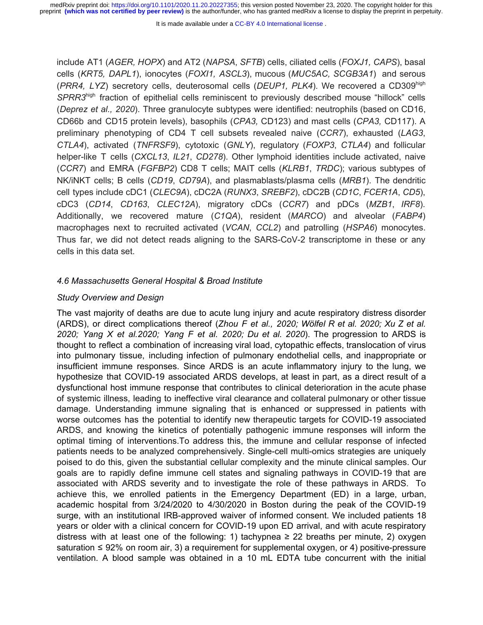It is made available under a CC-BY 4.0 International license.

include AT1 (*AGER, HOPX*) and AT2 (*NAPSA*, *SFTB*) cells, ciliated cells (*FOXJ1, CAPS*), basal cells (*KRT5, DAPL1*), ionocytes (*FOXI1, ASCL3*), mucous (*MUC5AC, SCGB3A1*) and serous (*PRR4, LYZ*) secretory cells, deuterosomal cells (*DEUP1, PLK4*). We recovered a CD309high *SPRR3*high fraction of epithelial cells reminiscent to previously described mouse "hillock" cells (*Deprez et al., 2020*). Three granulocyte subtypes were identified: neutrophils (based on CD16, CD66b and CD15 protein levels), basophils (*CPA3,* CD123) and mast cells (*CPA3,* CD117). A preliminary phenotyping of CD4 T cell subsets revealed naive (*CCR7*), exhausted (*LAG3*, *CTLA4*), activated (*TNFRSF9*), cytotoxic (*GNLY*), regulatory (*FOXP3*, *CTLA4*) and follicular helper-like T cells (*CXCL13*, *IL21*, *CD278*). Other lymphoid identities include activated, naive (*CCR7*) and EMRA (*FGFBP2*) CD8 T cells; MAIT cells (*KLRB1*, *TRDC*); various subtypes of NK/iNKT cells; B cells (*CD19*, *CD79A*), and plasmablasts/plasma cells (*MRB1*). The dendritic cell types include cDC1 (*CLEC9A*), cDC2A (*RUNX3*, *SREBF2*), cDC2B (*CD1C*, *FCER1A*, *CD5*), cDC3 (*CD14*, *CD163*, *CLEC12A*), migratory cDCs (*CCR7*) and pDCs (*MZB1*, *IRF8*). Additionally, we recovered mature (*C1QA*), resident (*MARCO*) and alveolar (*FABP4*) macrophages next to recruited activated (*VCAN*, *CCL2*) and patrolling (*HSPA6*) monocytes. Thus far, we did not detect reads aligning to the SARS-CoV-2 transcriptome in these or any cells in this data set.

#### *4.6 Massachusetts General Hospital & Broad Institute*

### *Study Overview and Design*

The vast majority of deaths are due to acute lung injury and acute respiratory distress disorder (ARDS), or direct complications thereof (*Zhou F et al., 2020; Wölfel R et al. 2020; Xu Z et al. 2020; Yang X et al.2020; Yang F et al. 2020; Du et al. 2020*). The progression to ARDS is thought to reflect a combination of increasing viral load, cytopathic effects, translocation of virus into pulmonary tissue, including infection of pulmonary endothelial cells, and inappropriate or insufficient immune responses. Since ARDS is an acute inflammatory injury to the lung, we hypothesize that COVID-19 associated ARDS develops, at least in part, as a direct result of a dysfunctional host immune response that contributes to clinical deterioration in the acute phase of systemic illness, leading to ineffective viral clearance and collateral pulmonary or other tissue damage. Understanding immune signaling that is enhanced or suppressed in patients with worse outcomes has the potential to identify new therapeutic targets for COVID-19 associated ARDS, and knowing the kinetics of potentially pathogenic immune responses will inform the optimal timing of interventions.To address this, the immune and cellular response of infected patients needs to be analyzed comprehensively. Single-cell multi-omics strategies are uniquely poised to do this, given the substantial cellular complexity and the minute clinical samples. Our goals are to rapidly define immune cell states and signaling pathways in COVID-19 that are associated with ARDS severity and to investigate the role of these pathways in ARDS. To achieve this, we enrolled patients in the Emergency Department (ED) in a large, urban, academic hospital from 3/24/2020 to 4/30/2020 in Boston during the peak of the COVID-19 surge, with an institutional IRB-approved waiver of informed consent. We included patients 18 years or older with a clinical concern for COVID-19 upon ED arrival, and with acute respiratory distress with at least one of the following: 1) tachypnea  $\geq$  22 breaths per minute, 2) oxygen saturation  $\leq 92\%$  on room air, 3) a requirement for supplemental oxygen, or 4) positive-pressure ventilation. A blood sample was obtained in a 10 mL EDTA tube concurrent with the initial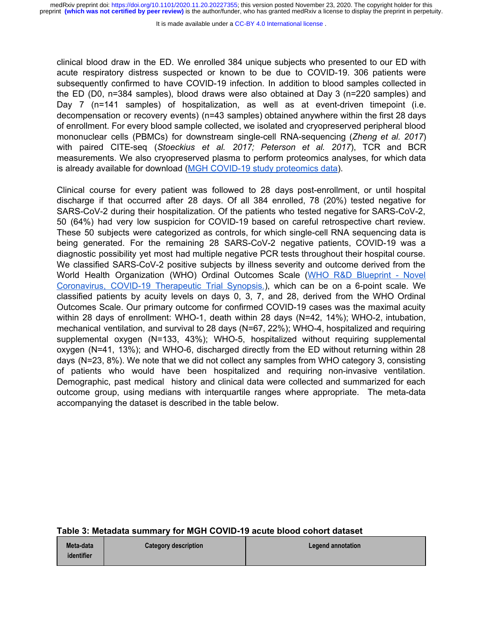It is made available under a CC-BY 4.0 International license.

clinical blood draw in the ED. We enrolled 384 unique subjects who presented to our ED with acute respiratory distress suspected or known to be due to COVID-19. 306 patients were subsequently confirmed to have COVID-19 infection. In addition to blood samples collected in the ED (D0, n=384 samples), blood draws were also obtained at Day 3 (n=220 samples) and Day 7 (n=141 samples) of hospitalization, as well as at event-driven timepoint (i.e. decompensation or recovery events) (n=43 samples) obtained anywhere within the first 28 days of enrollment. For every blood sample collected, we isolated and cryopreserved peripheral blood mononuclear cells (PBMCs) for downstream single-cell RNA-sequencing (*Zheng et al. 2017*) with paired CITE-seq (*Stoeckius et al. 2017; Peterson et al. 2017*), TCR and BCR measurements. We also cryopreserved plasma to perform proteomics analyses, for which data is already available for download [\(MGH COVID-19 study proteomics data\)](https://info.olink.com/mgh-covid-study-overview-page?hsCtaTracking=fff99a2a-81c1-4e4a-a70d-6922d26503b4%7C202c2809-0976-48f7-aad0-3903c36624ca).

Clinical course for every patient was followed to 28 days post-enrollment, or until hospital discharge if that occurred after 28 days. Of all 384 enrolled, 78 (20%) tested negative for SARS-CoV-2 during their hospitalization. Of the patients who tested negative for SARS-CoV-2, 50 (64%) had very low suspicion for COVID-19 based on careful retrospective chart review. These 50 subjects were categorized as controls, for which single-cell RNA sequencing data is being generated. For the remaining 28 SARS-CoV-2 negative patients, COVID-19 was a diagnostic possibility yet most had multiple negative PCR tests throughout their hospital course. We classified SARS-CoV-2 positive subjects by illness severity and outcome derived from the World Health Organization (WHO) Ordinal Outcomes Scale [\(WHO R&D Blueprint - Novel](https://www.who.int/blueprint/priority-diseases/key-action/COVID-19_Treatment_Trial_Design_Master_Protocol_synopsis_Final_18022020.pdf) [Coronavirus, COVID-19 Therapeutic Trial Synopsis.](https://www.who.int/blueprint/priority-diseases/key-action/COVID-19_Treatment_Trial_Design_Master_Protocol_synopsis_Final_18022020.pdf)), which can be on a 6-point scale. We classified patients by acuity levels on days 0, 3, 7, and 28, derived from the WHO Ordinal Outcomes Scale. Our primary outcome for confirmed COVID-19 cases was the maximal acuity within 28 days of enrollment: WHO-1, death within 28 days (N=42, 14%); WHO-2, intubation, mechanical ventilation, and survival to 28 days (N=67, 22%); WHO-4, hospitalized and requiring supplemental oxygen (N=133, 43%); WHO-5, hospitalized without requiring supplemental oxygen (N=41, 13%); and WHO-6, discharged directly from the ED without returning within 28 days (N=23, 8%). We note that we did not collect any samples from WHO category 3, consisting of patients who would have been hospitalized and requiring non-invasive ventilation. Demographic, past medical history and clinical data were collected and summarized for each outcome group, using medians with interquartile ranges where appropriate. The meta-data accompanying the dataset is described in the table below.

#### **Table 3: Metadata summary for MGH COVID-19 acute blood cohort dataset**

| Meta-data  | <b>Category description</b> | Legend annotation |
|------------|-----------------------------|-------------------|
| identifier |                             |                   |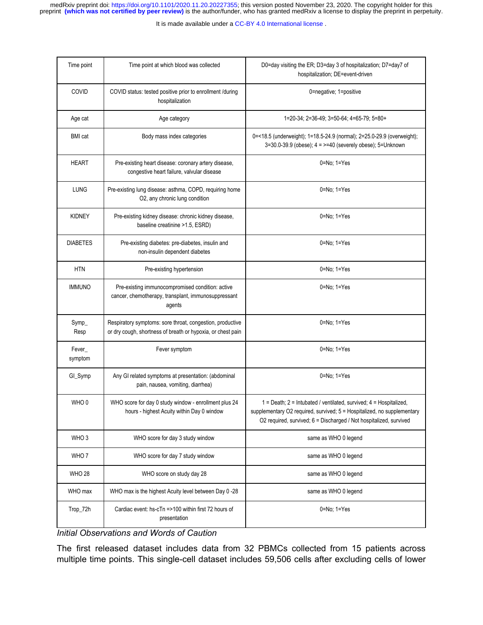It is made available under a CC-BY 4.0 International license.

| Time point        | Time point at which blood was collected                                                                                  | D0=day visiting the ER; D3=day 3 of hospitalization; D7=day7 of<br>hospitalization; DE=event-driven                                                                                                                 |
|-------------------|--------------------------------------------------------------------------------------------------------------------------|---------------------------------------------------------------------------------------------------------------------------------------------------------------------------------------------------------------------|
| COVID             | COVID status: tested positive prior to enrollment /during<br>hospitalization                                             | 0=negative; 1=positive                                                                                                                                                                                              |
| Age cat           | Age category                                                                                                             | 1=20-34; 2=36-49; 3=50-64; 4=65-79; 5=80+                                                                                                                                                                           |
| <b>BMI</b> cat    | Body mass index categories                                                                                               | 0=<18.5 (underweight); 1=18.5-24.9 (normal); 2=25.0-29.9 (overweight);<br>3=30.0-39.9 (obese); 4 = >=40 (severely obese); 5=Unknown                                                                                 |
| HEART             | Pre-existing heart disease: coronary artery disease,<br>congestive heart failure, valvular disease                       | $0 = No$ ; $1 = Yes$                                                                                                                                                                                                |
| <b>LUNG</b>       | Pre-existing lung disease: asthma, COPD, requiring home<br>O2, any chronic lung condition                                | 0=No; 1=Yes                                                                                                                                                                                                         |
| <b>KIDNEY</b>     | Pre-existing kidney disease: chronic kidney disease,<br>baseline creatinine >1.5, ESRD)                                  | $0 = No$ ; $1 = Yes$                                                                                                                                                                                                |
| <b>DIABETES</b>   | Pre-existing diabetes: pre-diabetes, insulin and<br>non-insulin dependent diabetes                                       | $0 = No$ ; $1 = Yes$                                                                                                                                                                                                |
| <b>HTN</b>        | Pre-existing hypertension                                                                                                | $0 = No$ ; $1 = Yes$                                                                                                                                                                                                |
| <b>IMMUNO</b>     | Pre-existing immunocompromised condition: active<br>cancer, chemotherapy, transplant, immunosuppressant<br>agents        | $0 = No$ ; $1 = Yes$                                                                                                                                                                                                |
| Symp<br>Resp      | Respiratory symptoms: sore throat, congestion, productive<br>or dry cough, shortness of breath or hypoxia, or chest pain | 0=No; 1=Yes                                                                                                                                                                                                         |
| Fever_<br>symptom | Fever symptom                                                                                                            | $0 = No$ ; $1 = Yes$                                                                                                                                                                                                |
| GI_Symp           | Any GI related symptoms at presentation: (abdominal<br>pain, nausea, vomiting, diarrhea)                                 | $0 = No$ ; $1 = Yes$                                                                                                                                                                                                |
| WHO 0             | WHO score for day 0 study window - enrollment plus 24<br>hours - highest Acuity within Day 0 window                      | 1 = Death; 2 = Intubated / ventilated, survived; 4 = Hospitalized,<br>supplementary O2 required, survived; 5 = Hospitalized, no supplementary<br>O2 required, survived; 6 = Discharged / Not hospitalized, survived |
| WHO <sub>3</sub>  | WHO score for day 3 study window                                                                                         | same as WHO 0 legend                                                                                                                                                                                                |
| WHO 7             | WHO score for day 7 study window                                                                                         | same as WHO 0 legend                                                                                                                                                                                                |
| <b>WHO 28</b>     | WHO score on study day 28                                                                                                | same as WHO 0 legend                                                                                                                                                                                                |
| WHO max           | WHO max is the highest Acuity level between Day 0 -28                                                                    | same as WHO 0 legend                                                                                                                                                                                                |
| Trop_72h          | Cardiac event: hs-cTn =>100 within first 72 hours of<br>presentation                                                     | $0 = No$ ; $1 = Yes$                                                                                                                                                                                                |

*Initial Observations and Words of Caution*

The first released dataset includes data from 32 PBMCs collected from 15 patients across multiple time points. This single-cell dataset includes 59,506 cells after excluding cells of lower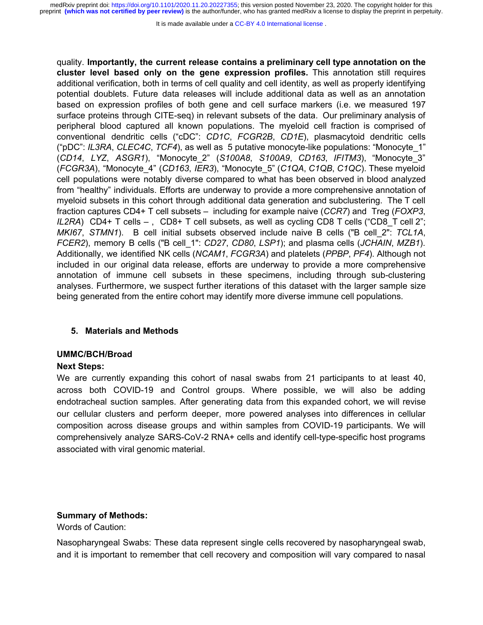It is made available under a CC-BY 4.0 International license.

quality. **Importantly, the current release contains a preliminary cell type annotation on the cluster level based only on the gene expression profiles.** This annotation still requires additional verification, both in terms of cell quality and cell identity, as well as properly identifying potential doublets. Future data releases will include additional data as well as an annotation based on expression profiles of both gene and cell surface markers (i.e. we measured 197 surface proteins through CITE-seq) in relevant subsets of the data. Our preliminary analysis of peripheral blood captured all known populations. The myeloid cell fraction is comprised of conventional dendritic cells ("cDC": *CD1C*, *FCGR2B*, *CD1E*), plasmacytoid dendritic cells ("pDC": *IL3RA*, *CLEC4C*, *TCF4*), as well as 5 putative monocyte-like populations: "Monocyte\_1" (*CD14*, *LYZ*, *ASGR1*), "Monocyte\_2" (*S100A8*, *S100A9*, *CD163*, *IFITM3*), "Monocyte\_3" (*FCGR3A*), "Monocyte\_4" (*CD163*, *IER3*), "Monocyte\_5" (*C1QA*, *C1QB*, *C1QC*). These myeloid cell populations were notably diverse compared to what has been observed in blood analyzed from "healthy" individuals. Efforts are underway to provide a more comprehensive annotation of myeloid subsets in this cohort through additional data generation and subclustering. The T cell fraction captures CD4+ T cell subsets – including for example naive (*CCR7*) and Treg (*FOXP3*, *IL2RA*) CD4+ T cells –, CD8+ T cell subsets, as well as cycling CD8 T cells ("CD8 T cell 2"; *MKI67*, *STMN1*). B cell initial subsets observed include naive B cells ("B cell\_2": *TCL1A*, *FCER2*), memory B cells ("B cell\_1": *CD27*, *CD80*, *LSP1*); and plasma cells (*JCHAIN*, *MZB1*). Additionally, we identified NK cells (*NCAM1*, *FCGR3A*) and platelets (*PPBP*, *PF4*). Although not included in our original data release, efforts are underway to provide a more comprehensive annotation of immune cell subsets in these specimens, including through sub-clustering analyses. Furthermore, we suspect further iterations of this dataset with the larger sample size being generated from the entire cohort may identify more diverse immune cell populations.

## **5. Materials and Methods**

## **UMMC/BCH/Broad**

#### **Next Steps:**

We are currently expanding this cohort of nasal swabs from 21 participants to at least 40, across both COVID-19 and Control groups. Where possible, we will also be adding endotracheal suction samples. After generating data from this expanded cohort, we will revise our cellular clusters and perform deeper, more powered analyses into differences in cellular composition across disease groups and within samples from COVID-19 participants. We will comprehensively analyze SARS-CoV-2 RNA+ cells and identify cell-type-specific host programs associated with viral genomic material.

## **Summary of Methods:**

Words of Caution:

Nasopharyngeal Swabs: These data represent single cells recovered by nasopharyngeal swab, and it is important to remember that cell recovery and composition will vary compared to nasal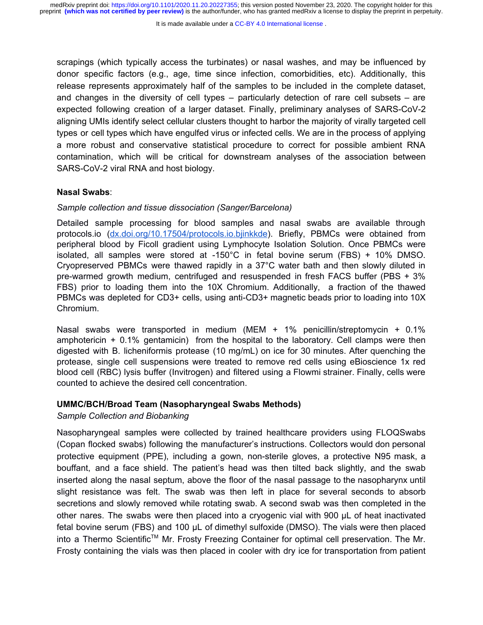scrapings (which typically access the turbinates) or nasal washes, and may be influenced by donor specific factors (e.g., age, time since infection, comorbidities, etc). Additionally, this release represents approximately half of the samples to be included in the complete dataset, and changes in the diversity of cell types – particularly detection of rare cell subsets – are expected following creation of a larger dataset. Finally, preliminary analyses of SARS-CoV-2 aligning UMIs identify select cellular clusters thought to harbor the majority of virally targeted cell types or cell types which have engulfed virus or infected cells. We are in the process of applying a more robust and conservative statistical procedure to correct for possible ambient RNA contamination, which will be critical for downstream analyses of the association between SARS-CoV-2 viral RNA and host biology.

#### **Nasal Swabs**:

#### *Sample collection and tissue dissociation (Sanger/Barcelona)*

Detailed sample processing for blood samples and nasal swabs are available through protocols.io ([dx.doi.org/10.17504/protocols.io.bjinkkde](http://dx.doi.org/10.17504/protocols.io.bjinkkde)). Briefly, PBMCs were obtained from peripheral blood by Ficoll gradient using Lymphocyte Isolation Solution. Once PBMCs were isolated, all samples were stored at -150°C in fetal bovine serum (FBS) + 10% DMSO. Cryopreserved PBMCs were thawed rapidly in a 37°C water bath and then slowly diluted in pre-warmed growth medium, centrifuged and resuspended in fresh FACS buffer (PBS + 3% FBS) prior to loading them into the 10X Chromium. Additionally, a fraction of the thawed PBMCs was depleted for CD3+ cells, using anti-CD3+ magnetic beads prior to loading into 10X Chromium.

Nasal swabs were transported in medium (MEM + 1% penicillin/streptomycin + 0.1% amphotericin  $+$  0.1% gentamicin) from the hospital to the laboratory. Cell clamps were then digested with B. licheniformis protease (10 mg/mL) on ice for 30 minutes. After quenching the protease, single cell suspensions were treated to remove red cells using eBioscience 1x red blood cell (RBC) lysis buffer (Invitrogen) and filtered using a Flowmi strainer. Finally, cells were counted to achieve the desired cell concentration.

### **UMMC/BCH/Broad Team (Nasopharyngeal Swabs Methods)**

## *Sample Collection and Biobanking*

Nasopharyngeal samples were collected by trained healthcare providers using FLOQSwabs (Copan flocked swabs) following the manufacturer's instructions. Collectors would don personal protective equipment (PPE), including a gown, non-sterile gloves, a protective N95 mask, a bouffant, and a face shield. The patient's head was then tilted back slightly, and the swab inserted along the nasal septum, above the floor of the nasal passage to the nasopharynx until slight resistance was felt. The swab was then left in place for several seconds to absorb secretions and slowly removed while rotating swab. A second swab was then completed in the other nares. The swabs were then placed into a cryogenic vial with 900 µL of heat inactivated fetal bovine serum (FBS) and 100 µL of dimethyl sulfoxide (DMSO). The vials were then placed into a Thermo Scientific<sup>™</sup> Mr. Frosty Freezing Container for optimal cell preservation. The Mr. Frosty containing the vials was then placed in cooler with dry ice for transportation from patient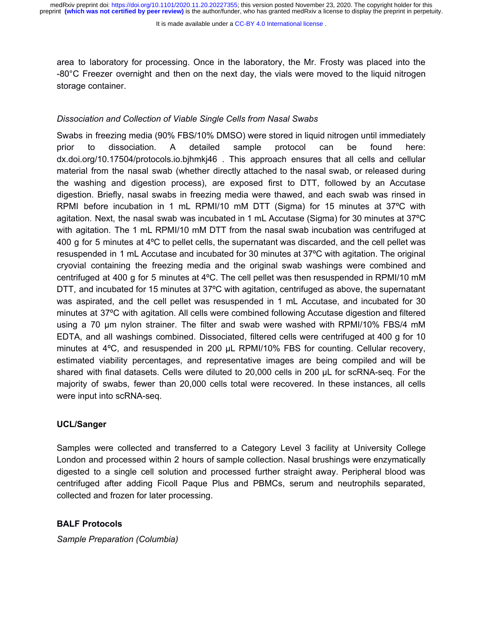It is made available under a CC-BY 4.0 International license.

area to laboratory for processing. Once in the laboratory, the Mr. Frosty was placed into the -80°C Freezer overnight and then on the next day, the vials were moved to the liquid nitrogen storage container.

## *Dissociation and Collection of Viable Single Cells from Nasal Swabs*

Swabs in freezing media (90% FBS/10% DMSO) were stored in liquid nitrogen until immediately prior to dissociation. A detailed sample protocol can be found here: dx.doi.org/10.17504/protocols.io.bjhmkj46 . This approach ensures that all cells and cellular material from the nasal swab (whether directly attached to the nasal swab, or released during the washing and digestion process), are exposed first to DTT, followed by an Accutase digestion. Briefly, nasal swabs in freezing media were thawed, and each swab was rinsed in RPMI before incubation in 1 mL RPMI/10 mM DTT (Sigma) for 15 minutes at 37ºC with agitation. Next, the nasal swab was incubated in 1 mL Accutase (Sigma) for 30 minutes at 37ºC with agitation. The 1 mL RPMI/10 mM DTT from the nasal swab incubation was centrifuged at 400 g for 5 minutes at 4ºC to pellet cells, the supernatant was discarded, and the cell pellet was resuspended in 1 mL Accutase and incubated for 30 minutes at 37ºC with agitation. The original cryovial containing the freezing media and the original swab washings were combined and centrifuged at 400 g for 5 minutes at 4ºC. The cell pellet was then resuspended in RPMI/10 mM DTT, and incubated for 15 minutes at 37ºC with agitation, centrifuged as above, the supernatant was aspirated, and the cell pellet was resuspended in 1 mL Accutase, and incubated for 30 minutes at 37ºC with agitation. All cells were combined following Accutase digestion and filtered using a 70 µm nylon strainer. The filter and swab were washed with RPMI/10% FBS/4 mM EDTA, and all washings combined. Dissociated, filtered cells were centrifuged at 400 g for 10 minutes at 4°C, and resuspended in 200 µL RPMI/10% FBS for counting. Cellular recovery, estimated viability percentages, and representative images are being compiled and will be shared with final datasets. Cells were diluted to 20,000 cells in 200 µL for scRNA-seq. For the majority of swabs, fewer than 20,000 cells total were recovered. In these instances, all cells were input into scRNA-seq.

## **UCL/Sanger**

Samples were collected and transferred to a Category Level 3 facility at University College London and processed within 2 hours of sample collection. Nasal brushings were enzymatically digested to a single cell solution and processed further straight away. Peripheral blood was centrifuged after adding Ficoll Paque Plus and PBMCs, serum and neutrophils separated, collected and frozen for later processing.

## **BALF Protocols**

*Sample Preparation (Columbia)*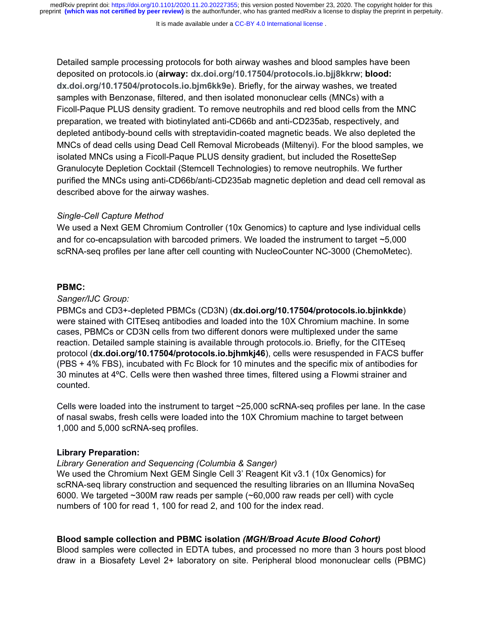It is made available under a [CC-BY 4.0 International license](http://creativecommons.org/licenses/by/4.0/) .

Detailed sample processing protocols for both airway washes and blood samples have been deposited on protocols.io (**airway: [dx.doi.org/10.17504/protocols.io.bjj8kkrw](https://dx.doi.org/10.17504/protocols.io.bjj8kkrw)**; **blood: [dx.doi.org/10.17504/protocols.io.bjm6kk9e](https://dx.doi.org/10.17504/protocols.io.bjm6kk9e)**). Briefly, for the airway washes, we treated samples with Benzonase, filtered, and then isolated mononuclear cells (MNCs) with a Ficoll-Paque PLUS density gradient. To remove neutrophils and red blood cells from the MNC preparation, we treated with biotinylated anti-CD66b and anti-CD235ab, respectively, and depleted antibody-bound cells with streptavidin-coated magnetic beads. We also depleted the MNCs of dead cells using Dead Cell Removal Microbeads (Miltenyi). For the blood samples, we isolated MNCs using a Ficoll-Paque PLUS density gradient, but included the RosetteSep Granulocyte Depletion Cocktail (Stemcell Technologies) to remove neutrophils. We further purified the MNCs using anti-CD66b/anti-CD235ab magnetic depletion and dead cell removal as described above for the airway washes.

#### *Single-Cell Capture Method*

We used a Next GEM Chromium Controller (10x Genomics) to capture and lyse individual cells and for co-encapsulation with barcoded primers. We loaded the instrument to target ~5,000 scRNA-seq profiles per lane after cell counting with NucleoCounter NC-3000 (ChemoMetec).

## **PBMC:**

### *Sanger/IJC Group:*

PBMCs and CD3+-depleted PBMCs (CD3N) (**dx.doi.org/10.17504/protocols.io.bjinkkde**) were stained with CITEseq antibodies and loaded into the 10X Chromium machine. In some cases, PBMCs or CD3N cells from two different donors were multiplexed under the same reaction. Detailed sample staining is available through protocols.io. Briefly, for the CITEseq protocol (**dx.doi.org/10.17504/protocols.io.bjhmkj46**), cells were resuspended in FACS buffer (PBS + 4% FBS), incubated with Fc Block for 10 minutes and the specific mix of antibodies for 30 minutes at 4ºC. Cells were then washed three times, filtered using a Flowmi strainer and counted.

Cells were loaded into the instrument to target ~25,000 scRNA-seq profiles per lane. In the case of nasal swabs, fresh cells were loaded into the 10X Chromium machine to target between 1,000 and 5,000 scRNA-seq profiles.

## **Library Preparation:**

#### *Library Generation and Sequencing (Columbia & Sanger)*

We used the Chromium Next GEM Single Cell 3' Reagent Kit v3.1 (10x Genomics) for scRNA-seq library construction and sequenced the resulting libraries on an Illumina NovaSeq 6000. We targeted ~300M raw reads per sample (~60,000 raw reads per cell) with cycle numbers of 100 for read 1, 100 for read 2, and 100 for the index read.

### **Blood sample collection and PBMC isolation** *(MGH/Broad Acute Blood Cohort)*

Blood samples were collected in EDTA tubes, and processed no more than 3 hours post blood draw in a Biosafety Level 2+ laboratory on site. Peripheral blood mononuclear cells (PBMC)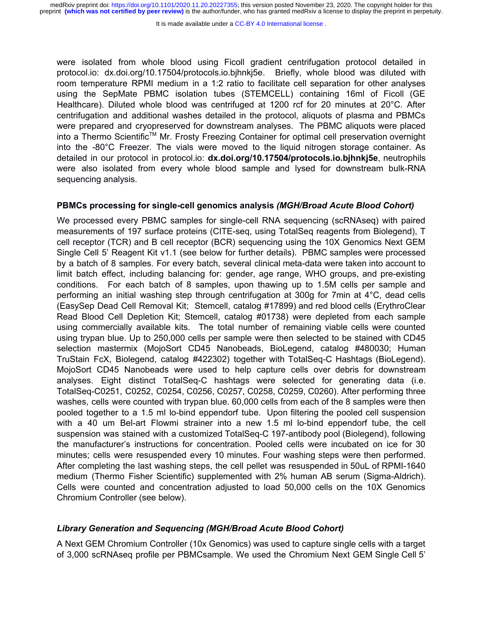were isolated from whole blood using Ficoll gradient centrifugation protocol detailed in protocol.io: dx.doi.org/10.17504/protocols.io.bjhnkj5e. Briefly, whole blood was diluted with room temperature RPMI medium in a 1:2 ratio to facilitate cell separation for other analyses using the SepMate PBMC isolation tubes (STEMCELL) containing 16ml of Ficoll (GE Healthcare). Diluted whole blood was centrifuged at 1200 rcf for 20 minutes at 20°C. After centrifugation and additional washes detailed in the protocol, aliquots of plasma and PBMCs were prepared and cryopreserved for downstream analyses. The PBMC aliquots were placed into a Thermo Scientific<sup>™</sup> Mr. Frosty Freezing Container for optimal cell preservation overnight into the -80°C Freezer. The vials were moved to the liquid nitrogen storage container. As detailed in our protocol in protocol.io: **dx.doi.org/10.17504/protocols.io.bjhnkj5e**, neutrophils were also isolated from every whole blood sample and lysed for downstream bulk-RNA sequencing analysis.

### **PBMCs processing for single-cell genomics analysis** *(MGH/Broad Acute Blood Cohort)*

We processed every PBMC samples for single-cell RNA sequencing (scRNAseq) with paired measurements of 197 surface proteins (CITE-seq, using TotalSeq reagents from Biolegend), T cell receptor (TCR) and B cell receptor (BCR) sequencing using the 10X Genomics Next GEM Single Cell 5' Reagent Kit v1.1 (see below for further details). PBMC samples were processed by a batch of 8 samples. For every batch, several clinical meta-data were taken into account to limit batch effect, including balancing for: gender, age range, WHO groups, and pre-existing conditions. For each batch of 8 samples, upon thawing up to 1.5M cells per sample and performing an initial washing step through centrifugation at 300g for 7min at 4°C, dead cells (EasySep Dead Cell Removal Kit; Stemcell, catalog #17899) and red blood cells (ErythroClear Read Blood Cell Depletion Kit; Stemcell, catalog #01738) were depleted from each sample using commercially available kits. The total number of remaining viable cells were counted using trypan blue. Up to 250,000 cells per sample were then selected to be stained with CD45 selection mastermix (MojoSort CD45 Nanobeads, BioLegend, catalog #480030; Human TruStain FcX, Biolegend, catalog #422302) together with TotalSeq-C Hashtags (BioLegend). MojoSort CD45 Nanobeads were used to help capture cells over debris for downstream analyses. Eight distinct TotalSeq-C hashtags were selected for generating data (i.e. TotalSeq-C0251, C0252, C0254, C0256, C0257, C0258, C0259, C0260). After performing three washes, cells were counted with trypan blue. 60,000 cells from each of the 8 samples were then pooled together to a 1.5 ml lo-bind eppendorf tube. Upon filtering the pooled cell suspension with a 40 um Bel-art Flowmi strainer into a new 1.5 ml lo-bind eppendorf tube, the cell suspension was stained with a customized TotalSeq-C 197-antibody pool (Biolegend), following the manufacturer's instructions for concentration. Pooled cells were incubated on ice for 30 minutes; cells were resuspended every 10 minutes. Four washing steps were then performed. After completing the last washing steps, the cell pellet was resuspended in 50uL of RPMI-1640 medium (Thermo Fisher Scientific) supplemented with 2% human AB serum (Sigma-Aldrich). Cells were counted and concentration adjusted to load 50,000 cells on the 10X Genomics Chromium Controller (see below).

#### *Library Generation and Sequencing (MGH/Broad Acute Blood Cohort)*

A Next GEM Chromium Controller (10x Genomics) was used to capture single cells with a target of 3,000 scRNAseq profile per PBMCsample. We used the Chromium Next GEM Single Cell 5'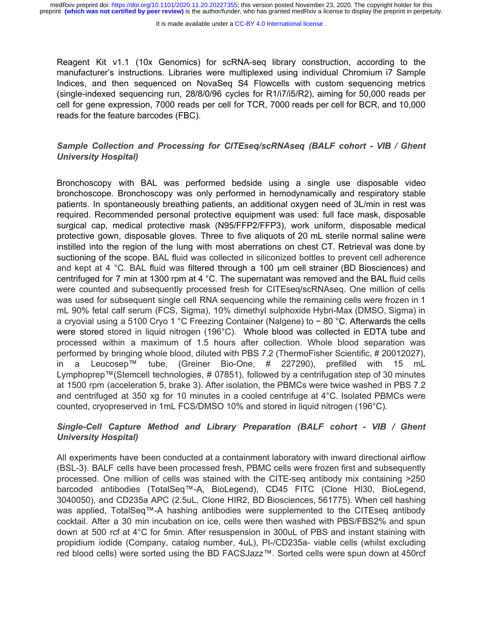It is made available under a CC-BY 4.0 International license.

Reagent Kit v1.1 (10x Genomics) for scRNA-seq library construction, according to the manufacturer's instructions. Libraries were multiplexed using individual Chromium i7 Sample Indices, and then sequenced on NovaSeq S4 Flowcells with custom sequencing metrics (single-indexed sequencing run, 28/8/0/96 cycles for R1/i7/i5/R2), aiming for 50,000 reads per cell for gene expression, 7000 reads per cell for TCR, 7000 reads per cell for BCR, and 10,000 reads for the feature barcodes (FBC).

# *Sample Collection and Processing for CITEseq/scRNAseq (BALF cohort - VIB / Ghent University Hospital)*

Bronchoscopy with BAL was performed bedside using a single use disposable video bronchoscope. Bronchoscopy was only performed in hemodynamically and respiratory stable patients. In spontaneously breathing patients, an additional oxygen need of 3L/min in rest was required. Recommended personal protective equipment was used: full face mask, disposable surgical cap, medical protective mask (N95/FFP2/FFP3), work uniform, disposable medical protective gown, disposable gloves. Three to five aliquots of 20 mL sterile normal saline were instilled into the region of the lung with most aberrations on chest CT. Retrieval was done by suctioning of the scope. BAL fluid was collected in siliconized bottles to prevent cell adherence and kept at 4 °C. BAL fluid was filtered through a 100 μm cell strainer (BD Biosciences) and centrifuged for 7 min at 1300 rpm at 4 °C. The supernatant was removed and the BAL fluid cells were counted and subsequently processed fresh for CITEseq/scRNAseq. One million of cells was used for subsequent single cell RNA sequencing while the remaining cells were frozen in 1 mL 90% fetal calf serum (FCS, Sigma), 10% dimethyl sulphoxide Hybri-Max (DMSO, Sigma) in a cryovial using a 5100 Cryo 1 °C Freezing Container (Nalgene) to − 80 °C. Afterwards the cells were stored stored in liquid nitrogen (196°C). Whole blood was collected in EDTA tube and processed within a maximum of 1.5 hours after collection. Whole blood separation was performed by bringing whole blood, diluted with PBS 7.2 (ThermoFisher Scientific, # 20012027), in a Leucosep™ tube, (Greiner Bio-One, # 227290), prefilled with 15 mL Lymphoprep™(Stemcell technologies, # 07851), followed by a centrifugation step of 30 minutes at 1500 rpm (acceleration 5, brake 3). After isolation, the PBMCs were twice washed in PBS 7.2 and centrifuged at 350 xg for 10 minutes in a cooled centrifuge at 4°C. Isolated PBMCs were counted, cryopreserved in 1mL FCS/DMSO 10% and stored in liquid nitrogen (196°C).

# *Single-Cell Capture Method and Library Preparation (BALF cohort - VIB / Ghent University Hospital)*

All experiments have been conducted at a containment laboratory with inward directional airflow (BSL-3). BALF cells have been processed fresh, PBMC cells were frozen first and subsequently processed. One million of cells was stained with the CITE-seq antibody mix containing >250 barcoded antibodies (TotalSeq™-A, BioLegend), CD45 FITC (Clone HI30, BioLegend, 3040050), and CD235a APC (2.5uL, Clone HIR2, BD Biosciences, 561775). When cell hashing was applied, TotalSeq™-A hashing antibodies were supplemented to the CITEseq antibody cocktail. After a 30 min incubation on ice, cells were then washed with PBS/FBS2% and spun down at 500 rcf at 4°C for 5min. After resuspension in 300uL of PBS and instant staining with propidium iodide (Company, catalog number, 4uL), PI-/CD235a- viable cells (whilst excluding red blood cells) were sorted using the BD FACSJazz™. Sorted cells were spun down at 450rcf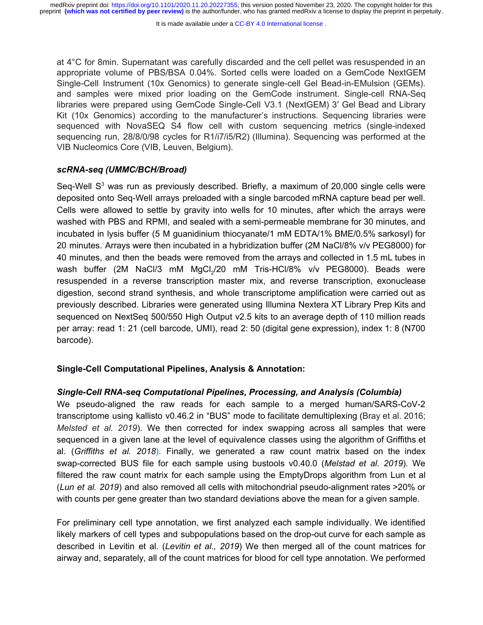at 4°C for 8min. Supernatant was carefully discarded and the cell pellet was resuspended in an appropriate volume of PBS/BSA 0.04%. Sorted cells were loaded on a GemCode NextGEM Single-Cell Instrument (10x Genomics) to generate single-cell Gel Bead-in-EMulsion (GEMs). and samples were mixed prior loading on the GemCode instrument. Single-cell RNA-Seq libraries were prepared using GemCode Single-Cell V3.1 (NextGEM) 3ʹ Gel Bead and Library Kit (10x Genomics) according to the manufacturer's instructions. Sequencing libraries were sequenced with NovaSEQ S4 flow cell with custom sequencing metrics (single-indexed sequencing run, 28/8/0/98 cycles for R1/i7/i5/R2) (Illumina). Sequencing was performed at the VIB Nucleomics Core (VIB, Leuven, Belgium).

### *scRNA-seq (UMMC/BCH/Broad)*

Seq-Well  $S<sup>3</sup>$  was run as previously described. Briefly, a maximum of 20,000 single cells were deposited onto Seq-Well arrays preloaded with a single barcoded mRNA capture bead per well. Cells were allowed to settle by gravity into wells for 10 minutes, after which the arrays were washed with PBS and RPMI, and sealed with a semi-permeable membrane for 30 minutes, and incubated in lysis buffer (5 M guanidinium thiocyanate/1 mM EDTA/1% BME/0.5% sarkosyl) for 20 minutes. Arrays were then incubated in a hybridization buffer (2M NaCl/8% v/v PEG8000) for 40 minutes, and then the beads were removed from the arrays and collected in 1.5 mL tubes in wash buffer (2M NaCl/3 mM MgCl<sub>2</sub>/20 mM Tris-HCl/8% v/v PEG8000). Beads were resuspended in a reverse transcription master mix, and reverse transcription, exonuclease digestion, second strand synthesis, and whole transcriptome amplification were carried out as previously described. Libraries were generated using Illumina Nextera XT Library Prep Kits and sequenced on NextSeq 500/550 High Output v2.5 kits to an average depth of 110 million reads per array: read 1: 21 (cell barcode, UMI), read 2: 50 (digital gene expression), index 1: 8 (N700 barcode).

## **Single-Cell Computational Pipelines, Analysis & Annotation:**

## *Single-Cell RNA-seq Computational Pipelines, Processing, and Analysis (Columbia)*

We pseudo-aligned the raw reads for each sample to a merged human/SARS-CoV-2 transcriptome using kallisto v0.46.2 in "BUS" mode to facilitate demultiplexing (Bray et al. 2016; *Melsted et al. 2019*). We then corrected for index swapping across all samples that were sequenced in a given lane at the level of equivalence classes using the algorithm of Griffiths et al. (*Griffiths et al. 2018*). Finally, we generated a raw count matrix based on the index swap-corrected BUS file for each sample using bustools v0.40.0 (*Melstad et al. 2019*). We filtered the raw count matrix for each sample using the EmptyDrops algorithm from Lun et al (*Lun et al. 2019*) and also removed all cells with mitochondrial pseudo-alignment rates >20% or with counts per gene greater than two standard deviations above the mean for a given sample.

For preliminary cell type annotation, we first analyzed each sample individually. We identified likely markers of cell types and subpopulations based on the drop-out curve for each sample as described in Levitin et al. (*Levitin et al., 2019*) We then merged all of the count matrices for airway and, separately, all of the count matrices for blood for cell type annotation. We performed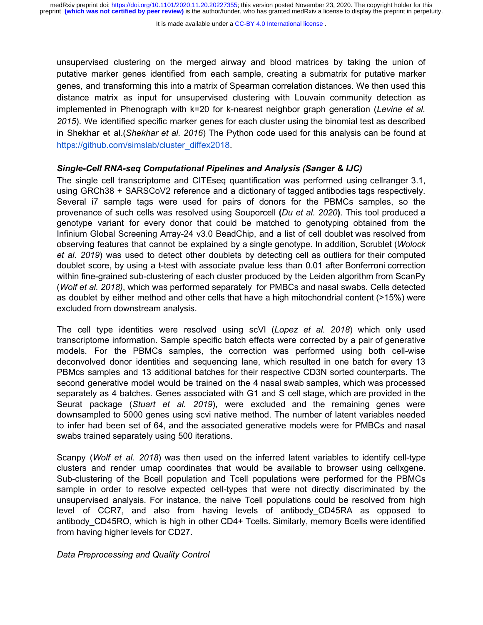unsupervised clustering on the merged airway and blood matrices by taking the union of putative marker genes identified from each sample, creating a submatrix for putative marker genes, and transforming this into a matrix of Spearman correlation distances. We then used this distance matrix as input for unsupervised clustering with Louvain community detection as implemented in Phenograph with k=20 for k-nearest neighbor graph generation (*Levine et al. 2015*). We identified specific marker genes for each cluster using the binomial test as described in Shekhar et al.(*Shekhar et al. 2016*) The Python code used for this analysis can be found at [https://github.com/simslab/cluster\\_diffex2018](https://github.com/simslab/cluster_diffex2018).

### *Single-Cell RNA-seq Computational Pipelines and Analysis (Sanger & IJC)*

The single cell transcriptome and CITEseq quantification was performed using cellranger 3.1, using GRCh38 + SARSCoV2 reference and a dictionary of tagged antibodies tags respectively. Several i7 sample tags were used for pairs of donors for the PBMCs samples, so the provenance of such cells was resolved using Souporcell **(***Du et al. 2020***)**. This tool produced a genotype variant for every donor that could be matched to genotyping obtained from the Infinium Global Screening Array-24 v3.0 BeadChip, and a list of cell doublet was resolved from observing features that cannot be explained by a single genotype. In addition, Scrublet (*Wolock et al. 2019*) was used to detect other doublets by detecting cell as outliers for their computed doublet score, by using a t-test with associate pvalue less than 0.01 after Bonferroni correction within fine-grained sub-clustering of each cluster produced by the Leiden algorithm from ScanPy (*Wolf et al. 2018)*, which was performed separately for PMBCs and nasal swabs. Cells detected as doublet by either method and other cells that have a high mitochondrial content (>15%) were excluded from downstream analysis.

The cell type identities were resolved using scVI (*Lopez et al. 2018*) which only used transcriptome information. Sample specific batch effects were corrected by a pair of generative models. For the PBMCs samples, the correction was performed using both cell-wise deconvolved donor identities and sequencing lane, which resulted in one batch for every 13 PBMcs samples and 13 additional batches for their respective CD3N sorted counterparts. The second generative model would be trained on the 4 nasal swab samples, which was processed separately as 4 batches. Genes associated with G1 and S cell stage, which are provided in the Seurat package (*Stuart et al. 2019*)**,** were excluded and the remaining genes were downsampled to 5000 genes using scvi native method. The number of latent variables needed to infer had been set of 64, and the associated generative models were for PMBCs and nasal swabs trained separately using 500 iterations.

Scanpy (*Wolf et al. 2018*) was then used on the inferred latent variables to identify cell-type clusters and render umap coordinates that would be available to browser using cellxgene. Sub-clustering of the Bcell population and Tcell populations were performed for the PBMCs sample in order to resolve expected cell-types that were not directly discriminated by the unsupervised analysis. For instance, the naive Tcell populations could be resolved from high level of CCR7, and also from having levels of antibody\_CD45RA as opposed to antibody CD45RO, which is high in other CD4+ Tcells. Similarly, memory Bcells were identified from having higher levels for CD27.

*Data Preprocessing and Quality Control*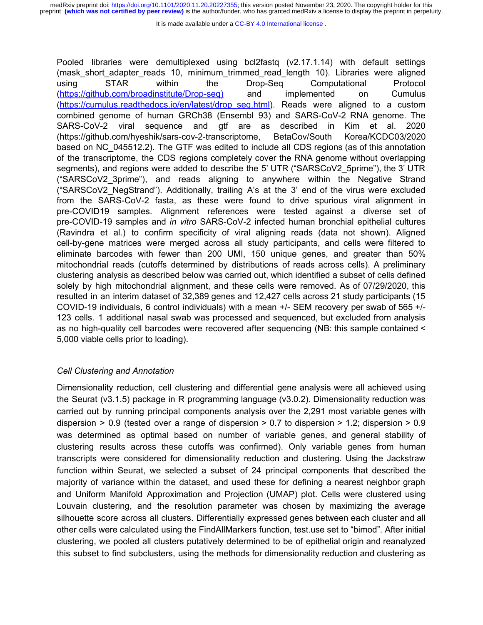It is made available under a CC-BY 4.0 International license.

Pooled libraries were demultiplexed using bcl2fastq (v2.17.1.14) with default settings (mask\_short\_adapter\_reads 10, minimum\_trimmed\_read\_length 10). Libraries were aligned using STAR within the Drop-Seq Computational Protocol ([https://github.com/broadinstitute/Drop-seq\)](https://github.com/broadinstitute/Drop-seq) and implemented on Cumulus ([https://cumulus.readthedocs.io/en/latest/drop\\_seq.html\)](https://cumulus.readthedocs.io/en/latest/drop_seq.html). Reads were aligned to a custom combined genome of human GRCh38 (Ensembl 93) and SARS-CoV-2 RNA genome. The SARS-CoV-2 viral sequence and gtf are as described in Kim et al. 2020 (https://github.com/hyeshik/sars-cov-2-transcriptome, BetaCov/South Korea/KCDC03/2020 based on NC\_045512.2). The GTF was edited to include all CDS regions (as of this annotation of the transcriptome, the CDS regions completely cover the RNA genome without overlapping segments), and regions were added to describe the 5' UTR ("SARSCoV2\_5prime"), the 3' UTR ("SARSCoV2\_3prime"), and reads aligning to anywhere within the Negative Strand ("SARSCoV2\_NegStrand"). Additionally, trailing A's at the 3' end of the virus were excluded from the SARS-CoV-2 fasta, as these were found to drive spurious viral alignment in pre-COVID19 samples. Alignment references were tested against a diverse set of pre-COVID-19 samples and *in vitro* SARS-CoV-2 infected human bronchial epithelial cultures (Ravindra et al.) to confirm specificity of viral aligning reads (data not shown). Aligned cell-by-gene matrices were merged across all study participants, and cells were filtered to eliminate barcodes with fewer than 200 UMI, 150 unique genes, and greater than 50% mitochondrial reads (cutoffs determined by distributions of reads across cells). A preliminary clustering analysis as described below was carried out, which identified a subset of cells defined solely by high mitochondrial alignment, and these cells were removed. As of 07/29/2020, this resulted in an interim dataset of 32,389 genes and 12,427 cells across 21 study participants (15 COVID-19 individuals, 6 control individuals) with a mean +/- SEM recovery per swab of 565 +/- 123 cells. 1 additional nasal swab was processed and sequenced, but excluded from analysis as no high-quality cell barcodes were recovered after sequencing (NB: this sample contained < 5,000 viable cells prior to loading).

## *Cell Clustering and Annotation*

Dimensionality reduction, cell clustering and differential gene analysis were all achieved using the Seurat (v3.1.5) package in R programming language (v3.0.2). Dimensionality reduction was carried out by running principal components analysis over the 2,291 most variable genes with dispersion  $> 0.9$  (tested over a range of dispersion  $> 0.7$  to dispersion  $> 1.2$ ; dispersion  $> 0.9$ was determined as optimal based on number of variable genes, and general stability of clustering results across these cutoffs was confirmed). Only variable genes from human transcripts were considered for dimensionality reduction and clustering. Using the Jackstraw function within Seurat, we selected a subset of 24 principal components that described the majority of variance within the dataset, and used these for defining a nearest neighbor graph and Uniform Manifold Approximation and Projection (UMAP) plot. Cells were clustered using Louvain clustering, and the resolution parameter was chosen by maximizing the average silhouette score across all clusters. Differentially expressed genes between each cluster and all other cells were calculated using the FindAllMarkers function, test.use set to "bimod". After initial clustering, we pooled all clusters putatively determined to be of epithelial origin and reanalyzed this subset to find subclusters, using the methods for dimensionality reduction and clustering as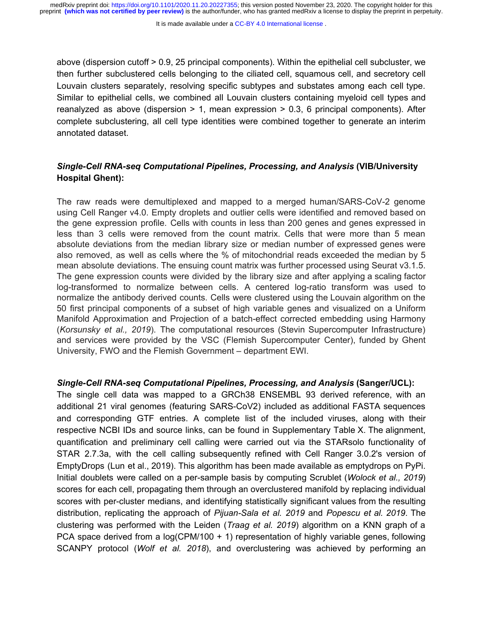It is made available under a CC-BY 4.0 International license.

above (dispersion cutoff > 0.9, 25 principal components). Within the epithelial cell subcluster, we then further subclustered cells belonging to the ciliated cell, squamous cell, and secretory cell Louvain clusters separately, resolving specific subtypes and substates among each cell type. Similar to epithelial cells, we combined all Louvain clusters containing myeloid cell types and reanalyzed as above (dispersion  $> 1$ , mean expression  $> 0.3$ , 6 principal components). After complete subclustering, all cell type identities were combined together to generate an interim annotated dataset.

# *Single-Cell RNA-seq Computational Pipelines, Processing, and Analysis* **(VIB/University Hospital Ghent):**

The raw reads were demultiplexed and mapped to a merged human/SARS-CoV-2 genome using Cell Ranger v4.0. Empty droplets and outlier cells were identified and removed based on the gene expression profile. Cells with counts in less than 200 genes and genes expressed in less than 3 cells were removed from the count matrix. Cells that were more than 5 mean absolute deviations from the median library size or median number of expressed genes were also removed, as well as cells where the % of mitochondrial reads exceeded the median by 5 mean absolute deviations. The ensuing count matrix was further processed using Seurat v3.1.5. The gene expression counts were divided by the library size and after applying a scaling factor log-transformed to normalize between cells. A centered log-ratio transform was used to normalize the antibody derived counts. Cells were clustered using the Louvain algorithm on the 50 first principal components of a subset of high variable genes and visualized on a Uniform Manifold Approximation and Projection of a batch-effect corrected embedding using Harmony (*Korsunsky et al., 2019*). The computational resources (Stevin Supercomputer Infrastructure) and services were provided by the VSC (Flemish Supercomputer Center), funded by Ghent University, FWO and the Flemish Government – department EWI.

## *Single-Cell RNA-seq Computational Pipelines, Processing, and Analysis* **(Sanger/UCL):**

The single cell data was mapped to a GRCh38 ENSEMBL 93 derived reference, with an additional 21 viral genomes (featuring SARS-CoV2) included as additional FASTA sequences and corresponding GTF entries. A complete list of the included viruses, along with their respective NCBI IDs and source links, can be found in Supplementary Table X. The alignment, quantification and preliminary cell calling were carried out via the STARsolo functionality of STAR 2.7.3a, with the cell calling subsequently refined with Cell Ranger 3.0.2's version of EmptyDrops (Lun et al., 2019). This algorithm has been made available as emptydrops on PyPi. Initial doublets were called on a per-sample basis by computing Scrublet (*Wolock et al., 2019*) scores for each cell, propagating them through an overclustered manifold by replacing individual scores with per-cluster medians, and identifying statistically significant values from the resulting distribution, replicating the approach of *Pijuan-Sala et al. 2019* and *Popescu et al. 2019*. The clustering was performed with the Leiden (*Traag et al. 2019*) algorithm on a KNN graph of a PCA space derived from a log(CPM/100 + 1) representation of highly variable genes, following SCANPY protocol (*Wolf et al. 2018*), and overclustering was achieved by performing an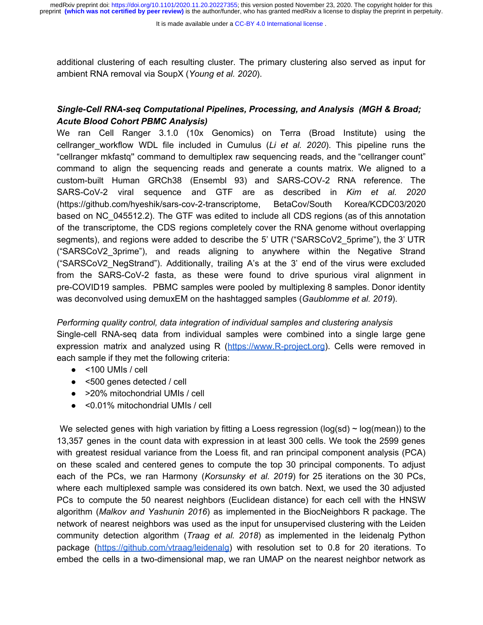It is made available under a CC-BY 4.0 International license.

additional clustering of each resulting cluster. The primary clustering also served as input for ambient RNA removal via SoupX (*Young et al. 2020*).

# *Single-Cell RNA-seq Computational Pipelines, Processing, and Analysis (MGH & Broad; Acute Blood Cohort PBMC Analysis)*

We ran Cell Ranger 3.1.0 (10x Genomics) on Terra (Broad Institute) using the cellranger\_workflow WDL file included in Cumulus (*Li et al. 2020*). This pipeline runs the "cellranger mkfastq'' command to demultiplex raw sequencing reads, and the "cellranger count" command to align the sequencing reads and generate a counts matrix. We aligned to a custom-built Human GRCh38 (Ensembl 93) and SARS-COV-2 RNA reference. The SARS-CoV-2 viral sequence and GTF are as described in *Kim et al. 2020* (https://github.com/hyeshik/sars-cov-2-transcriptome, BetaCov/South Korea/KCDC03/2020 based on NC\_045512.2). The GTF was edited to include all CDS regions (as of this annotation of the transcriptome, the CDS regions completely cover the RNA genome without overlapping segments), and regions were added to describe the 5' UTR ("SARSCoV2\_5prime"), the 3' UTR ("SARSCoV2\_3prime"), and reads aligning to anywhere within the Negative Strand ("SARSCoV2\_NegStrand"). Additionally, trailing A's at the 3' end of the virus were excluded from the SARS-CoV-2 fasta, as these were found to drive spurious viral alignment in pre-COVID19 samples. PBMC samples were pooled by multiplexing 8 samples. Donor identity was deconvolved using demuxEM on the hashtagged samples (*Gaublomme et al. 2019*).

# *Performing quality control, data integration of individual samples and clustering analysis* Single-cell RNA-seq data from individual samples were combined into a single large gene expression matrix and analyzed using R ([https://www.R-project.org\)](https://www.r-project.org/). Cells were removed in each sample if they met the following criteria:

- $\bullet$  <100 UMIs / cell
- <500 genes detected / cell
- >20% mitochondrial UMIs / cell
- <0.01% mitochondrial UMIs / cell

We selected genes with high variation by fitting a Loess regression ( $log(sd) \sim log(mean)$ ) to the 13,357 genes in the count data with expression in at least 300 cells. We took the 2599 genes with greatest residual variance from the Loess fit, and ran principal component analysis (PCA) on these scaled and centered genes to compute the top 30 principal components. To adjust each of the PCs, we ran Harmony (*Korsunsky et al. 2019*) for 25 iterations on the 30 PCs, where each multiplexed sample was considered its own batch. Next, we used the 30 adjusted PCs to compute the 50 nearest neighbors (Euclidean distance) for each cell with the HNSW algorithm (*Malkov and Yashunin 2016*) as implemented in the BiocNeighbors R package. The network of nearest neighbors was used as the input for unsupervised clustering with the Leiden community detection algorithm (*Traag et al. 2018*) as implemented in the leidenalg Python package [\(https://github.com/vtraag/leidenalg\)](https://github.com/vtraag/leidenalg) with resolution set to 0.8 for 20 iterations. To embed the cells in a two-dimensional map, we ran UMAP on the nearest neighbor network as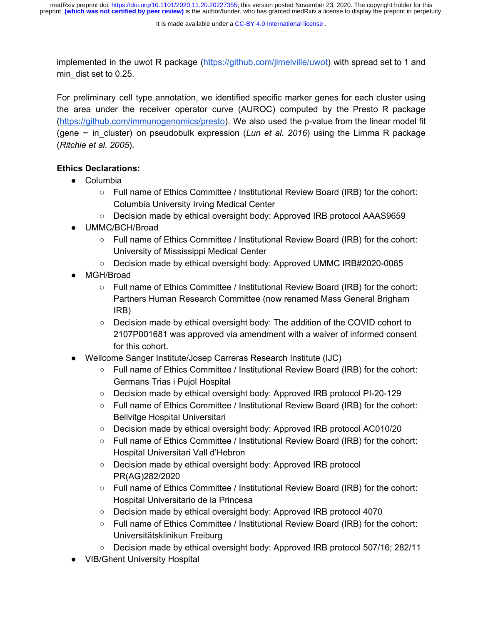implemented in the uwot R package ([https://github.com/jlmelville/uwot\)](https://github.com/jlmelville/uwot) with spread set to 1 and min\_dist set to 0.25.

For preliminary cell type annotation, we identified specific marker genes for each cluster using the area under the receiver operator curve (AUROC) computed by the Presto R package (<https://github.com/immunogenomics/presto>). We also used the p-value from the linear model fit (gene  $\sim$  in cluster) on pseudobulk expression (*Lun et al. 2016*) using the Limma R package (*Ritchie et al. 2005*).

## **Ethics Declarations:**

- Columbia
	- Full name of Ethics Committee / Institutional Review Board (IRB) for the cohort: Columbia University Irving Medical Center
	- Decision made by ethical oversight body: Approved IRB protocol AAAS9659
- UMMC/BCH/Broad
	- Full name of Ethics Committee / Institutional Review Board (IRB) for the cohort: University of Mississippi Medical Center
	- Decision made by ethical oversight body: Approved UMMC IRB#2020-0065
- MGH/Broad
	- Full name of Ethics Committee / Institutional Review Board (IRB) for the cohort: Partners Human Research Committee (now renamed Mass General Brigham IRB)
	- Decision made by ethical oversight body: The addition of the COVID cohort to 2107P001681 was approved via amendment with a waiver of informed consent for this cohort.
- Wellcome Sanger Institute/Josep Carreras Research Institute (IJC)
	- Full name of Ethics Committee / Institutional Review Board (IRB) for the cohort: Germans Trias i Pujol Hospital
	- Decision made by ethical oversight body: Approved IRB protocol PI-20-129
	- Full name of Ethics Committee / Institutional Review Board (IRB) for the cohort: Bellvitge Hospital Universitari
	- Decision made by ethical oversight body: Approved IRB protocol AC010/20
	- Full name of Ethics Committee / Institutional Review Board (IRB) for the cohort: Hospital Universitari Vall d'Hebron
	- Decision made by ethical oversight body: Approved IRB protocol PR(AG)282/2020
	- Full name of Ethics Committee / Institutional Review Board (IRB) for the cohort: Hospital Universitario de la Princesa
	- Decision made by ethical oversight body: Approved IRB protocol 4070
	- Full name of Ethics Committee / Institutional Review Board (IRB) for the cohort: Universitätsklinikun Freiburg
	- Decision made by ethical oversight body: Approved IRB protocol 507/16; 282/11
- VIB/Ghent University Hospital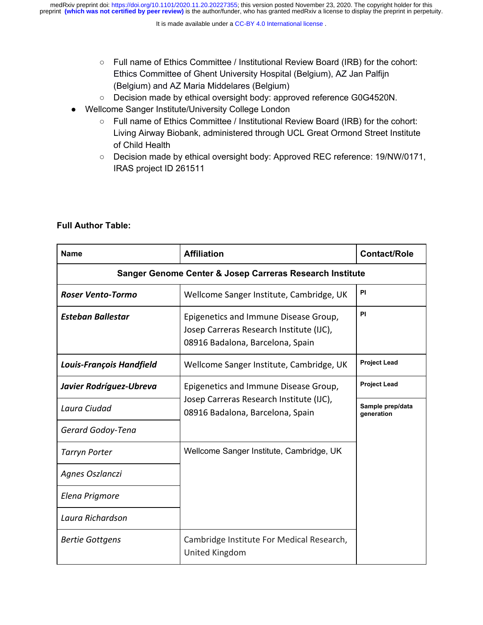- Full name of Ethics Committee / Institutional Review Board (IRB) for the cohort: Ethics Committee of Ghent University Hospital (Belgium), AZ Jan Palfijn (Belgium) and AZ Maria Middelares (Belgium)
- Decision made by ethical oversight body: approved reference G0G4520N.
- Wellcome Sanger Institute/University College London
	- Full name of Ethics Committee / Institutional Review Board (IRB) for the cohort: Living Airway Biobank, administered through UCL Great Ormond Street Institute of Child Health
	- Decision made by ethical oversight body: Approved REC reference: 19/NW/0171, IRAS project ID 261511

| <b>Name</b>                                              | <b>Affiliation</b>                                                                                                    | <b>Contact/Role</b>            |  |
|----------------------------------------------------------|-----------------------------------------------------------------------------------------------------------------------|--------------------------------|--|
| Sanger Genome Center & Josep Carreras Research Institute |                                                                                                                       |                                |  |
| <b>Roser Vento-Tormo</b>                                 | Wellcome Sanger Institute, Cambridge, UK                                                                              | PI                             |  |
| <b>Esteban Ballestar</b>                                 | Epigenetics and Immune Disease Group,<br>Josep Carreras Research Institute (IJC),<br>08916 Badalona, Barcelona, Spain | PI                             |  |
| <b>Louis-François Handfield</b>                          | Wellcome Sanger Institute, Cambridge, UK                                                                              | <b>Project Lead</b>            |  |
| Javier Rodríguez-Ubreva                                  | Epigenetics and Immune Disease Group,                                                                                 | <b>Project Lead</b>            |  |
| Laura Ciudad                                             | Josep Carreras Research Institute (IJC),<br>08916 Badalona, Barcelona, Spain                                          | Sample prep/data<br>generation |  |
| Gerard Godoy-Tena                                        |                                                                                                                       |                                |  |
| <b>Tarryn Porter</b>                                     | Wellcome Sanger Institute, Cambridge, UK                                                                              |                                |  |
| Agnes Oszlanczi                                          |                                                                                                                       |                                |  |
| Elena Prigmore                                           |                                                                                                                       |                                |  |
| Laura Richardson                                         |                                                                                                                       |                                |  |
| <b>Bertie Gottgens</b>                                   | Cambridge Institute For Medical Research,<br>United Kingdom                                                           |                                |  |

## **Full Author Table:**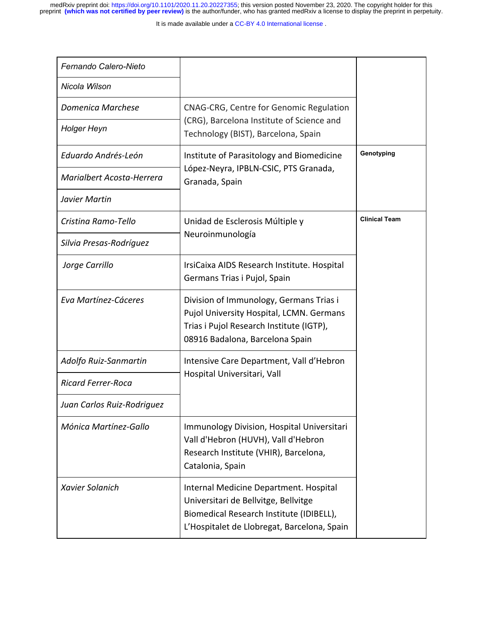It is made available under a CC-BY 4.0 International license.

| Fernando Calero-Nieto      |                                                                                                                                                                           |                      |
|----------------------------|---------------------------------------------------------------------------------------------------------------------------------------------------------------------------|----------------------|
| Nicola Wilson              |                                                                                                                                                                           |                      |
| <b>Domenica Marchese</b>   | CNAG-CRG, Centre for Genomic Regulation                                                                                                                                   |                      |
| <b>Holger Heyn</b>         | (CRG), Barcelona Institute of Science and<br>Technology (BIST), Barcelona, Spain                                                                                          |                      |
| Eduardo Andrés-León        | Institute of Parasitology and Biomedicine                                                                                                                                 | Genotyping           |
| Marialbert Acosta-Herrera  | López-Neyra, IPBLN-CSIC, PTS Granada,<br>Granada, Spain                                                                                                                   |                      |
| Javier Martin              |                                                                                                                                                                           |                      |
| Cristina Ramo-Tello        | Unidad de Esclerosis Múltiple y                                                                                                                                           | <b>Clinical Team</b> |
| Silvia Presas-Rodríguez    | Neuroinmunología                                                                                                                                                          |                      |
| Jorge Carrillo             | IrsiCaixa AIDS Research Institute. Hospital<br>Germans Trias i Pujol, Spain                                                                                               |                      |
| Eva Martínez-Cáceres       | Division of Immunology, Germans Trias i<br>Pujol University Hospital, LCMN. Germans<br>Trias i Pujol Research Institute (IGTP),<br>08916 Badalona, Barcelona Spain        |                      |
| Adolfo Ruiz-Sanmartin      | Intensive Care Department, Vall d'Hebron                                                                                                                                  |                      |
| Ricard Ferrer-Roca         | Hospital Universitari, Vall                                                                                                                                               |                      |
| Juan Carlos Ruiz-Rodriquez |                                                                                                                                                                           |                      |
| Mónica Martínez-Gallo      | Immunology Division, Hospital Universitari<br>Vall d'Hebron (HUVH), Vall d'Hebron<br>Research Institute (VHIR), Barcelona,<br>Catalonia, Spain                            |                      |
| Xavier Solanich            | Internal Medicine Department. Hospital<br>Universitari de Bellvitge, Bellvitge<br>Biomedical Research Institute (IDIBELL),<br>L'Hospitalet de Llobregat, Barcelona, Spain |                      |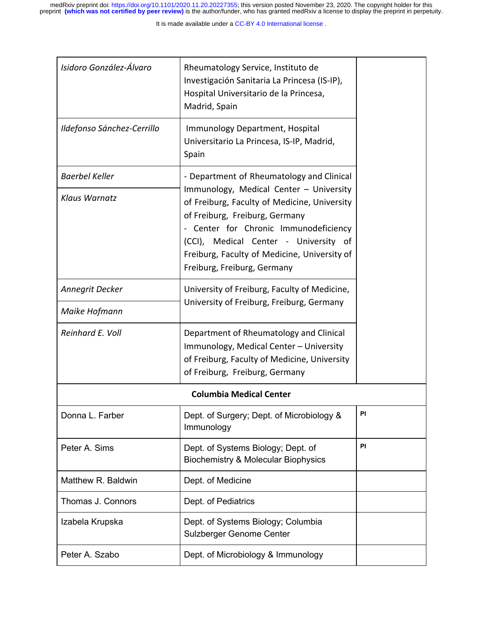| Isidoro González-Álvaro    | Rheumatology Service, Instituto de<br>Investigación Sanitaria La Princesa (IS-IP),<br>Hospital Universitario de la Princesa,<br>Madrid, Spain                                                                                                                                              |           |
|----------------------------|--------------------------------------------------------------------------------------------------------------------------------------------------------------------------------------------------------------------------------------------------------------------------------------------|-----------|
| Ildefonso Sánchez-Cerrillo | Immunology Department, Hospital<br>Universitario La Princesa, IS-IP, Madrid,<br>Spain                                                                                                                                                                                                      |           |
| <b>Baerbel Keller</b>      | - Department of Rheumatology and Clinical                                                                                                                                                                                                                                                  |           |
| Klaus Warnatz              | Immunology, Medical Center - University<br>of Freiburg, Faculty of Medicine, University<br>of Freiburg, Freiburg, Germany<br>- Center for Chronic Immunodeficiency<br>(CCI), Medical Center - University of<br>Freiburg, Faculty of Medicine, University of<br>Freiburg, Freiburg, Germany |           |
| Annegrit Decker            | University of Freiburg, Faculty of Medicine,                                                                                                                                                                                                                                               |           |
| Maike Hofmann              | University of Freiburg, Freiburg, Germany                                                                                                                                                                                                                                                  |           |
| Reinhard E. Voll           | Department of Rheumatology and Clinical<br>Immunology, Medical Center - University<br>of Freiburg, Faculty of Medicine, University<br>of Freiburg, Freiburg, Germany                                                                                                                       |           |
|                            | <b>Columbia Medical Center</b>                                                                                                                                                                                                                                                             |           |
| Donna L. Farber            | Dept. of Surgery; Dept. of Microbiology &<br>Immunology                                                                                                                                                                                                                                    | PI        |
| Peter A. Sims              | Dept. of Systems Biology; Dept. of<br><b>Biochemistry &amp; Molecular Biophysics</b>                                                                                                                                                                                                       | <b>PI</b> |
| Matthew R. Baldwin         | Dept. of Medicine                                                                                                                                                                                                                                                                          |           |
| Thomas J. Connors          | Dept. of Pediatrics                                                                                                                                                                                                                                                                        |           |
| Izabela Krupska            | Dept. of Systems Biology; Columbia<br>Sulzberger Genome Center                                                                                                                                                                                                                             |           |
| Peter A. Szabo             | Dept. of Microbiology & Immunology                                                                                                                                                                                                                                                         |           |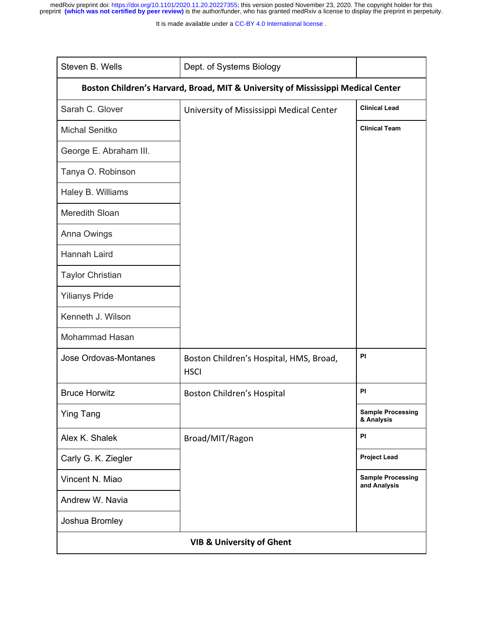It is made available under a CC-BY 4.0 International license.

| Steven B. Wells                                                                  | Dept. of Systems Biology                               |                                          |  |
|----------------------------------------------------------------------------------|--------------------------------------------------------|------------------------------------------|--|
| Boston Children's Harvard, Broad, MIT & University of Mississippi Medical Center |                                                        |                                          |  |
| Sarah C. Glover                                                                  | University of Mississippi Medical Center               | <b>Clinical Lead</b>                     |  |
| <b>Michal Senitko</b>                                                            |                                                        | <b>Clinical Team</b>                     |  |
| George E. Abraham III.                                                           |                                                        |                                          |  |
| Tanya O. Robinson                                                                |                                                        |                                          |  |
| Haley B. Williams                                                                |                                                        |                                          |  |
| Meredith Sloan                                                                   |                                                        |                                          |  |
| Anna Owings                                                                      |                                                        |                                          |  |
| Hannah Laird                                                                     |                                                        |                                          |  |
| <b>Taylor Christian</b>                                                          |                                                        |                                          |  |
| <b>Yilianys Pride</b>                                                            |                                                        |                                          |  |
| Kenneth J. Wilson                                                                |                                                        |                                          |  |
| Mohammad Hasan                                                                   |                                                        |                                          |  |
| Jose Ordovas-Montanes                                                            | Boston Children's Hospital, HMS, Broad,<br><b>HSCI</b> | <b>PI</b>                                |  |
| <b>Bruce Horwitz</b>                                                             | Boston Children's Hospital                             | <b>PI</b>                                |  |
| <b>Ying Tang</b>                                                                 |                                                        | <b>Sample Processing</b><br>& Analysis   |  |
| Alex K. Shalek                                                                   | Broad/MIT/Ragon                                        | <b>PI</b>                                |  |
| Carly G. K. Ziegler                                                              |                                                        | <b>Project Lead</b>                      |  |
| Vincent N. Miao                                                                  |                                                        | <b>Sample Processing</b><br>and Analysis |  |
| Andrew W. Navia                                                                  |                                                        |                                          |  |
| Joshua Bromley                                                                   |                                                        |                                          |  |
| <b>VIB &amp; University of Ghent</b>                                             |                                                        |                                          |  |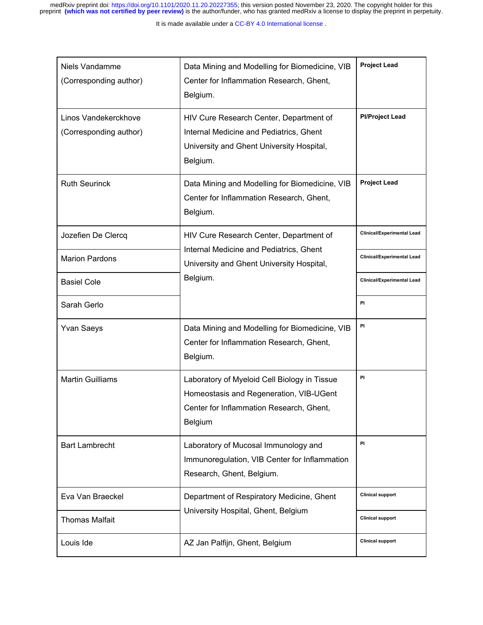| Niels Vandamme<br>(Corresponding author)       | Data Mining and Modelling for Biomedicine, VIB<br>Center for Inflammation Research, Ghent,<br>Belgium.                                                | <b>Project Lead</b>               |
|------------------------------------------------|-------------------------------------------------------------------------------------------------------------------------------------------------------|-----------------------------------|
| Linos Vandekerckhove<br>(Corresponding author) | HIV Cure Research Center, Department of<br>Internal Medicine and Pediatrics, Ghent<br>University and Ghent University Hospital,<br>Belgium.           | <b>PI/Project Lead</b>            |
| <b>Ruth Seurinck</b>                           | Data Mining and Modelling for Biomedicine, VIB<br>Center for Inflammation Research, Ghent,<br>Belgium.                                                | <b>Project Lead</b>               |
| Jozefien De Clercq                             | HIV Cure Research Center, Department of                                                                                                               | <b>Clinical/Experimental Lead</b> |
| <b>Marion Pardons</b>                          | Internal Medicine and Pediatrics, Ghent<br>University and Ghent University Hospital,                                                                  | <b>Clinical/Experimental Lead</b> |
| <b>Basiel Cole</b>                             | Belgium.                                                                                                                                              | <b>Clinical/Experimental Lead</b> |
| Sarah Gerlo                                    |                                                                                                                                                       | PI                                |
| <b>Yvan Saeys</b>                              | Data Mining and Modelling for Biomedicine, VIB<br>Center for Inflammation Research, Ghent,<br>Belgium.                                                | PI                                |
| <b>Martin Guilliams</b>                        | Laboratory of Myeloid Cell Biology in Tissue<br>Homeostasis and Regeneration, VIB-UGent<br>Center for Inflammation Research, Ghent,<br><b>Belgium</b> | PI                                |
| <b>Bart Lambrecht</b>                          | Laboratory of Mucosal Immunology and<br>Immunoregulation, VIB Center for Inflammation<br>Research, Ghent, Belgium.                                    | PI                                |
| Eva Van Braeckel                               | Department of Respiratory Medicine, Ghent                                                                                                             | <b>Clinical support</b>           |
| <b>Thomas Malfait</b>                          | University Hospital, Ghent, Belgium                                                                                                                   | <b>Clinical support</b>           |
| Louis Ide                                      | AZ Jan Palfijn, Ghent, Belgium                                                                                                                        | <b>Clinical support</b>           |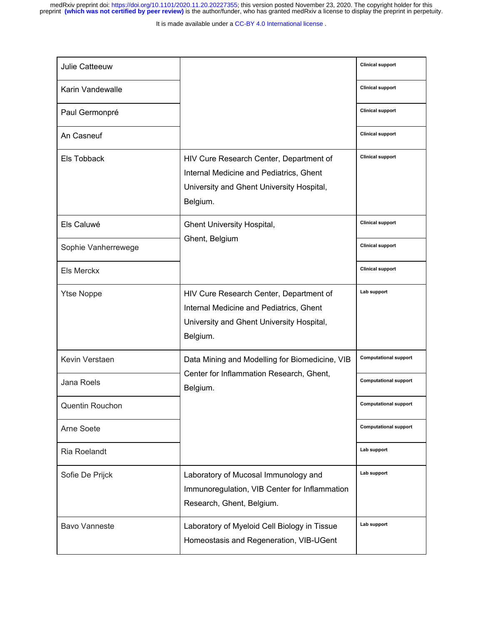It is made available under a CC-BY 4.0 International license.

| <b>Julie Catteeuw</b>  |                                                                                                                                             | <b>Clinical support</b>      |
|------------------------|---------------------------------------------------------------------------------------------------------------------------------------------|------------------------------|
| Karin Vandewalle       |                                                                                                                                             | <b>Clinical support</b>      |
| Paul Germonpré         |                                                                                                                                             | <b>Clinical support</b>      |
| An Casneuf             |                                                                                                                                             | <b>Clinical support</b>      |
| Els Tobback            | HIV Cure Research Center, Department of<br>Internal Medicine and Pediatrics, Ghent<br>University and Ghent University Hospital,<br>Belgium. | <b>Clinical support</b>      |
| Els Caluwé             | Ghent University Hospital,                                                                                                                  | <b>Clinical support</b>      |
| Sophie Vanherrewege    | Ghent, Belgium                                                                                                                              | <b>Clinical support</b>      |
| Els Merckx             |                                                                                                                                             | <b>Clinical support</b>      |
| <b>Ytse Noppe</b>      | HIV Cure Research Center, Department of<br>Internal Medicine and Pediatrics, Ghent<br>University and Ghent University Hospital,<br>Belgium. | Lab support                  |
| Kevin Verstaen         | Data Mining and Modelling for Biomedicine, VIB                                                                                              | <b>Computational support</b> |
| Jana Roels             | Center for Inflammation Research, Ghent,<br>Belgium.                                                                                        | <b>Computational support</b> |
| <b>Quentin Rouchon</b> |                                                                                                                                             | <b>Computational support</b> |
| Arne Soete             |                                                                                                                                             | <b>Computational support</b> |
| Ria Roelandt           |                                                                                                                                             | Lab support                  |
| Sofie De Prijck        | Laboratory of Mucosal Immunology and<br>Immunoregulation, VIB Center for Inflammation<br>Research, Ghent, Belgium.                          | Lab support                  |
| <b>Bavo Vanneste</b>   | Laboratory of Myeloid Cell Biology in Tissue<br>Homeostasis and Regeneration, VIB-UGent                                                     | Lab support                  |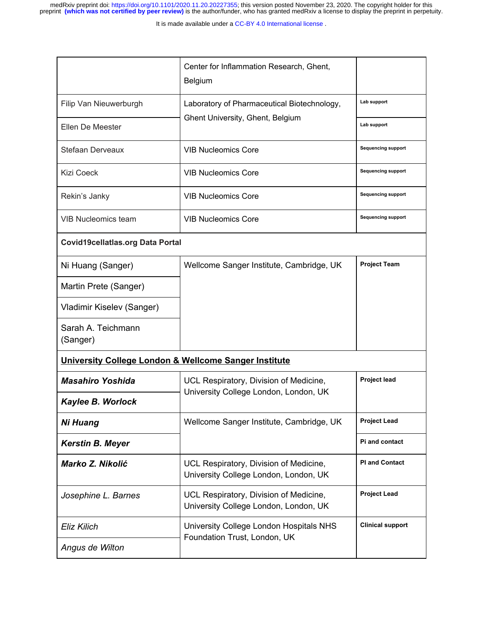|                                                       | Center for Inflammation Research, Ghent,<br>Belgium                                             |                           |
|-------------------------------------------------------|-------------------------------------------------------------------------------------------------|---------------------------|
| Filip Van Nieuwerburgh                                | Laboratory of Pharmaceutical Biotechnology,                                                     | Lab support               |
| Ellen De Meester                                      | Ghent University, Ghent, Belgium                                                                | Lab support               |
| Stefaan Derveaux                                      | <b>VIB Nucleomics Core</b>                                                                      | <b>Sequencing support</b> |
| <b>Kizi Coeck</b>                                     | <b>VIB Nucleomics Core</b>                                                                      | <b>Sequencing support</b> |
| Rekin's Janky                                         | <b>VIB Nucleomics Core</b>                                                                      | <b>Sequencing support</b> |
| <b>VIB Nucleomics team</b>                            | <b>VIB Nucleomics Core</b>                                                                      | <b>Sequencing support</b> |
| <b>Covid19cellatlas.org Data Portal</b>               |                                                                                                 |                           |
| Ni Huang (Sanger)                                     | Wellcome Sanger Institute, Cambridge, UK                                                        | <b>Project Team</b>       |
| Martin Prete (Sanger)                                 |                                                                                                 |                           |
| Vladimir Kiselev (Sanger)                             |                                                                                                 |                           |
| Sarah A. Teichmann<br>(Sanger)                        |                                                                                                 |                           |
| University College London & Wellcome Sanger Institute |                                                                                                 |                           |
| <b>Masahiro Yoshida</b>                               | Project lead<br>UCL Respiratory, Division of Medicine,<br>University College London, London, UK |                           |
| Kaylee B. Worlock                                     |                                                                                                 |                           |
| <b>Ni Huang</b>                                       | Wellcome Sanger Institute, Cambridge, UK                                                        | <b>Project Lead</b>       |
| <b>Kerstin B. Meyer</b>                               |                                                                                                 | <b>Pi and contact</b>     |
| Marko Z. Nikolić                                      | UCL Respiratory, Division of Medicine,<br>University College London, London, UK                 | <b>PI and Contact</b>     |
| Josephine L. Barnes                                   | UCL Respiratory, Division of Medicine,<br>University College London, London, UK                 | <b>Project Lead</b>       |
| Eliz Kilich                                           | University College London Hospitals NHS                                                         | <b>Clinical support</b>   |
| Angus de Wilton                                       | Foundation Trust, London, UK                                                                    |                           |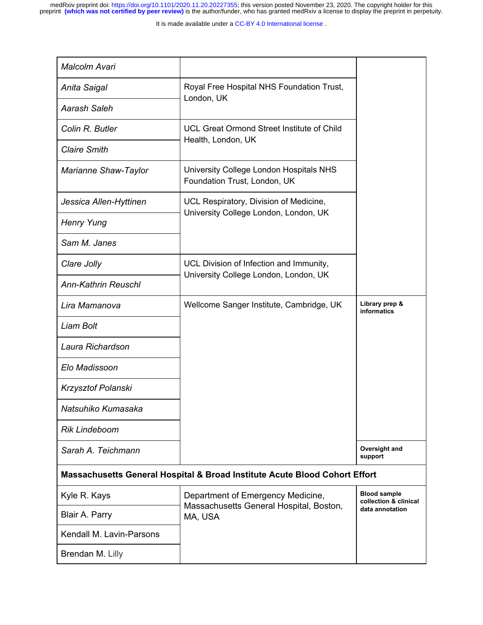It is made available under a CC-BY 4.0 International license.

| Malcolm Avari               |                                                                                         |                                              |
|-----------------------------|-----------------------------------------------------------------------------------------|----------------------------------------------|
| Anita Saigal                | Royal Free Hospital NHS Foundation Trust,<br>London, UK                                 |                                              |
| <b>Aarash Saleh</b>         |                                                                                         |                                              |
| Colin R. Butler             | <b>UCL Great Ormond Street Institute of Child</b><br>Health, London, UK                 |                                              |
| <b>Claire Smith</b>         |                                                                                         |                                              |
| <b>Marianne Shaw-Taylor</b> | University College London Hospitals NHS<br>Foundation Trust, London, UK                 |                                              |
| Jessica Allen-Hyttinen      | UCL Respiratory, Division of Medicine,                                                  |                                              |
| <b>Henry Yung</b>           | University College London, London, UK                                                   |                                              |
| Sam M. Janes                |                                                                                         |                                              |
| Clare Jolly                 | UCL Division of Infection and Immunity,<br>University College London, London, UK        |                                              |
| <b>Ann-Kathrin Reuschl</b>  |                                                                                         |                                              |
| Lira Mamanova               | Wellcome Sanger Institute, Cambridge, UK                                                | Library prep &<br><b>informatics</b>         |
| Liam Bolt                   |                                                                                         |                                              |
| Laura Richardson            |                                                                                         |                                              |
| Elo Madissoon               |                                                                                         |                                              |
| Krzysztof Polanski          |                                                                                         |                                              |
| Natsuhiko Kumasaka          |                                                                                         |                                              |
| <b>Rik Lindeboom</b>        |                                                                                         |                                              |
| Sarah A. Teichmann          |                                                                                         | Oversight and<br>support                     |
|                             | <b>Massachusetts General Hospital &amp; Broad Institute Acute Blood Cohort Effort</b>   |                                              |
| Kyle R. Kays                | Department of Emergency Medicine,<br>Massachusetts General Hospital, Boston,<br>MA, USA | <b>Blood sample</b><br>collection & clinical |
| Blair A. Parry              |                                                                                         | data annotation                              |
| Kendall M. Lavin-Parsons    |                                                                                         |                                              |
| Brendan M. Lilly            |                                                                                         |                                              |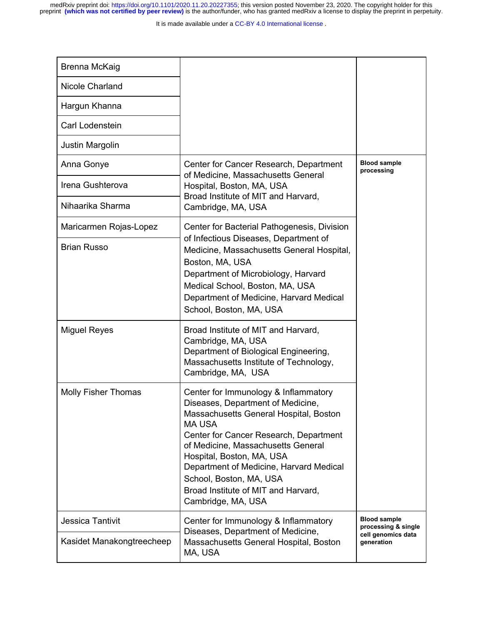It is made available under a CC-BY 4.0 International license.

| <b>Brenna McKaig</b>                          |                                                                                                                                                                                                                                                                                                                                                                                      |                                                                                |
|-----------------------------------------------|--------------------------------------------------------------------------------------------------------------------------------------------------------------------------------------------------------------------------------------------------------------------------------------------------------------------------------------------------------------------------------------|--------------------------------------------------------------------------------|
| Nicole Charland                               |                                                                                                                                                                                                                                                                                                                                                                                      |                                                                                |
| Hargun Khanna                                 |                                                                                                                                                                                                                                                                                                                                                                                      |                                                                                |
| Carl Lodenstein                               |                                                                                                                                                                                                                                                                                                                                                                                      |                                                                                |
| Justin Margolin                               |                                                                                                                                                                                                                                                                                                                                                                                      |                                                                                |
| Anna Gonye                                    | <b>Blood sample</b><br>Center for Cancer Research, Department<br>processing<br>of Medicine, Massachusetts General<br>Hospital, Boston, MA, USA<br>Broad Institute of MIT and Harvard,<br>Cambridge, MA, USA                                                                                                                                                                          |                                                                                |
| Irena Gushterova                              |                                                                                                                                                                                                                                                                                                                                                                                      |                                                                                |
| Nihaarika Sharma                              |                                                                                                                                                                                                                                                                                                                                                                                      |                                                                                |
| Maricarmen Rojas-Lopez                        | Center for Bacterial Pathogenesis, Division                                                                                                                                                                                                                                                                                                                                          |                                                                                |
| <b>Brian Russo</b>                            | of Infectious Diseases, Department of<br>Medicine, Massachusetts General Hospital,<br>Boston, MA, USA<br>Department of Microbiology, Harvard<br>Medical School, Boston, MA, USA<br>Department of Medicine, Harvard Medical<br>School, Boston, MA, USA                                                                                                                                |                                                                                |
| <b>Miguel Reyes</b>                           | Broad Institute of MIT and Harvard,<br>Cambridge, MA, USA<br>Department of Biological Engineering,<br>Massachusetts Institute of Technology,<br>Cambridge, MA, USA                                                                                                                                                                                                                   |                                                                                |
| <b>Molly Fisher Thomas</b>                    | Center for Immunology & Inflammatory<br>Diseases, Department of Medicine,<br>Massachusetts General Hospital, Boston<br><b>MA USA</b><br>Center for Cancer Research, Department<br>of Medicine, Massachusetts General<br>Hospital, Boston, MA, USA<br>Department of Medicine, Harvard Medical<br>School, Boston, MA, USA<br>Broad Institute of MIT and Harvard,<br>Cambridge, MA, USA |                                                                                |
| Jessica Tantivit<br>Kasidet Manakongtreecheep | Center for Immunology & Inflammatory<br>Diseases, Department of Medicine,<br>Massachusetts General Hospital, Boston<br>MA, USA                                                                                                                                                                                                                                                       | <b>Blood sample</b><br>processing & single<br>cell genomics data<br>generation |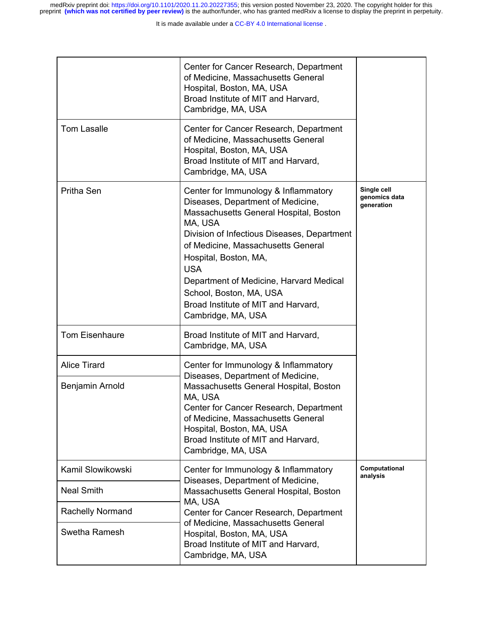|                         | Center for Cancer Research, Department<br>of Medicine, Massachusetts General<br>Hospital, Boston, MA, USA<br>Broad Institute of MIT and Harvard,<br>Cambridge, MA, USA                                                                                                                                                                                                                        |                                            |
|-------------------------|-----------------------------------------------------------------------------------------------------------------------------------------------------------------------------------------------------------------------------------------------------------------------------------------------------------------------------------------------------------------------------------------------|--------------------------------------------|
| <b>Tom Lasalle</b>      | Center for Cancer Research, Department<br>of Medicine, Massachusetts General<br>Hospital, Boston, MA, USA<br>Broad Institute of MIT and Harvard,<br>Cambridge, MA, USA                                                                                                                                                                                                                        |                                            |
| Pritha Sen              | Center for Immunology & Inflammatory<br>Diseases, Department of Medicine,<br>Massachusetts General Hospital, Boston<br>MA, USA<br>Division of Infectious Diseases, Department<br>of Medicine, Massachusetts General<br>Hospital, Boston, MA,<br><b>USA</b><br>Department of Medicine, Harvard Medical<br>School, Boston, MA, USA<br>Broad Institute of MIT and Harvard,<br>Cambridge, MA, USA | Single cell<br>genomics data<br>generation |
| <b>Tom Eisenhaure</b>   | Broad Institute of MIT and Harvard,<br>Cambridge, MA, USA                                                                                                                                                                                                                                                                                                                                     |                                            |
| <b>Alice Tirard</b>     | Center for Immunology & Inflammatory<br>Diseases, Department of Medicine,                                                                                                                                                                                                                                                                                                                     |                                            |
| Benjamin Arnold         | Massachusetts General Hospital, Boston<br>MA, USA<br>Center for Cancer Research. Department<br>of Medicine, Massachusetts General<br>Hospital, Boston, MA, USA<br>Broad Institute of MIT and Harvard,<br>Cambridge, MA, USA                                                                                                                                                                   |                                            |
| Kamil Slowikowski       | Center for Immunology & Inflammatory                                                                                                                                                                                                                                                                                                                                                          | Computational<br>analysis                  |
| <b>Neal Smith</b>       | Diseases, Department of Medicine,<br>Massachusetts General Hospital, Boston<br>MA, USA                                                                                                                                                                                                                                                                                                        |                                            |
| <b>Rachelly Normand</b> | Center for Cancer Research, Department<br>of Medicine, Massachusetts General                                                                                                                                                                                                                                                                                                                  |                                            |
| Swetha Ramesh           | Hospital, Boston, MA, USA<br>Broad Institute of MIT and Harvard,<br>Cambridge, MA, USA                                                                                                                                                                                                                                                                                                        |                                            |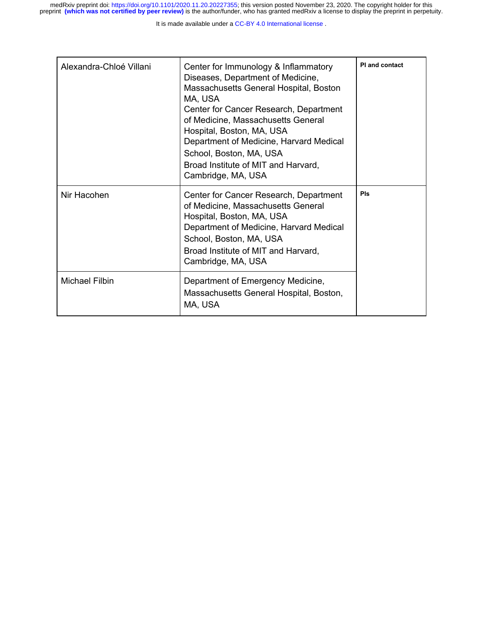| Alexandra-Chloé Villani | Center for Immunology & Inflammatory<br>Diseases, Department of Medicine,<br>Massachusetts General Hospital, Boston<br>MA, USA<br>Center for Cancer Research, Department<br>of Medicine, Massachusetts General<br>Hospital, Boston, MA, USA<br>Department of Medicine, Harvard Medical<br>School, Boston, MA, USA<br>Broad Institute of MIT and Harvard,<br>Cambridge, MA, USA | PI and contact |
|-------------------------|--------------------------------------------------------------------------------------------------------------------------------------------------------------------------------------------------------------------------------------------------------------------------------------------------------------------------------------------------------------------------------|----------------|
| Nir Hacohen             | Center for Cancer Research, Department<br>of Medicine, Massachusetts General<br>Hospital, Boston, MA, USA<br>Department of Medicine, Harvard Medical<br>School, Boston, MA, USA<br>Broad Institute of MIT and Harvard,<br>Cambridge, MA, USA                                                                                                                                   | Pls            |
| Michael Filbin          | Department of Emergency Medicine,<br>Massachusetts General Hospital, Boston,<br>MA, USA                                                                                                                                                                                                                                                                                        |                |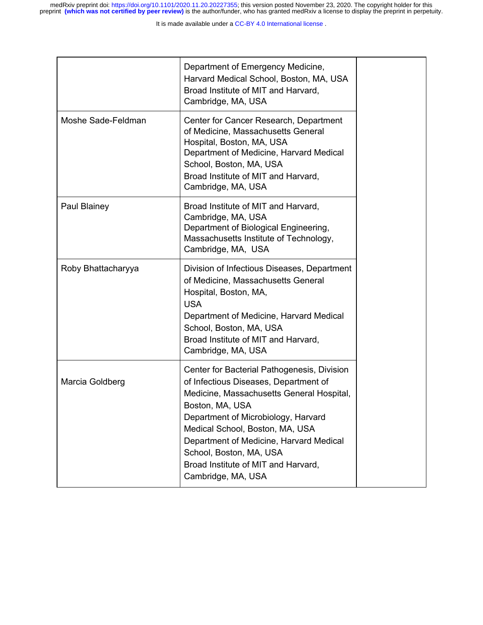|                    | Department of Emergency Medicine,<br>Harvard Medical School, Boston, MA, USA<br>Broad Institute of MIT and Harvard,<br>Cambridge, MA, USA                                                                                                                                                                                                                         |
|--------------------|-------------------------------------------------------------------------------------------------------------------------------------------------------------------------------------------------------------------------------------------------------------------------------------------------------------------------------------------------------------------|
| Moshe Sade-Feldman | Center for Cancer Research, Department<br>of Medicine, Massachusetts General<br>Hospital, Boston, MA, USA<br>Department of Medicine, Harvard Medical<br>School, Boston, MA, USA<br>Broad Institute of MIT and Harvard,<br>Cambridge, MA, USA                                                                                                                      |
| Paul Blainey       | Broad Institute of MIT and Harvard,<br>Cambridge, MA, USA<br>Department of Biological Engineering,<br>Massachusetts Institute of Technology,<br>Cambridge, MA, USA                                                                                                                                                                                                |
| Roby Bhattacharyya | Division of Infectious Diseases, Department<br>of Medicine, Massachusetts General<br>Hospital, Boston, MA,<br><b>USA</b><br>Department of Medicine, Harvard Medical<br>School, Boston, MA, USA<br>Broad Institute of MIT and Harvard,<br>Cambridge, MA, USA                                                                                                       |
| Marcia Goldberg    | Center for Bacterial Pathogenesis, Division<br>of Infectious Diseases, Department of<br>Medicine, Massachusetts General Hospital,<br>Boston, MA, USA<br>Department of Microbiology, Harvard<br>Medical School, Boston, MA, USA<br>Department of Medicine, Harvard Medical<br>School, Boston, MA, USA<br>Broad Institute of MIT and Harvard,<br>Cambridge, MA, USA |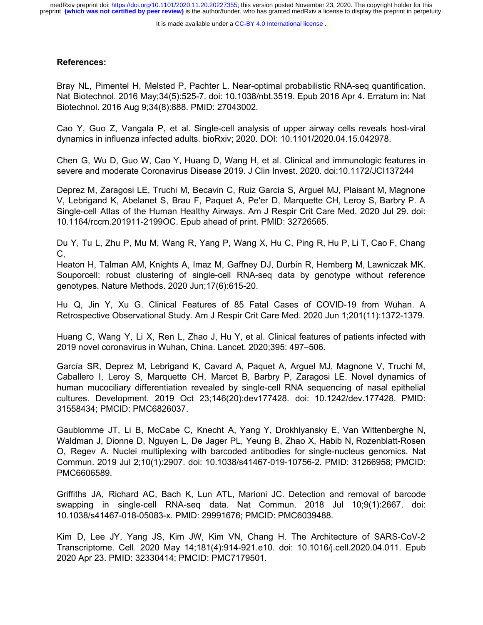#### **References:**

Bray NL, Pimentel H, Melsted P, Pachter L. Near-optimal probabilistic RNA-seq quantification. Nat Biotechnol. 2016 May;34(5):525-7. doi: 10.1038/nbt.3519. Epub 2016 Apr 4. Erratum in: Nat Biotechnol. 2016 Aug 9;34(8):888. PMID: 27043002.

Cao Y, Guo Z, Vangala P, et al. Single-cell analysis of upper airway cells reveals host-viral dynamics in influenza infected adults. bioRxiv; 2020. DOI: 10.1101/2020.04.15.042978.

Chen G, Wu D, Guo W, Cao Y, Huang D, Wang H, et al. Clinical and immunologic features in severe and moderate Coronavirus Disease 2019. J Clin Invest. 2020. doi:10.1172/JCI137244

Deprez M, Zaragosi LE, Truchi M, Becavin C, Ruiz García S, Arguel MJ, Plaisant M, Magnone V, Lebrigand K, Abelanet S, Brau F, Paquet A, Pe'er D, Marquette CH, Leroy S, Barbry P. A Single-cell Atlas of the Human Healthy Airways. Am J Respir Crit Care Med. 2020 Jul 29. doi: 10.1164/rccm.201911-2199OC. Epub ahead of print. PMID: 32726565.

Du Y, Tu L, Zhu P, Mu M, Wang R, Yang P, Wang X, Hu C, Ping R, Hu P, Li T, Cao F, Chang C,

Heaton H, Talman AM, Knights A, Imaz M, Gaffney DJ, Durbin R, Hemberg M, Lawniczak MK. Souporcell: robust clustering of single-cell RNA-seq data by genotype without reference genotypes. Nature Methods. 2020 Jun;17(6):615-20.

Hu Q, Jin Y, Xu G. Clinical Features of 85 Fatal Cases of COVID-19 from Wuhan. A Retrospective Observational Study. Am J Respir Crit Care Med. 2020 Jun 1;201(11):1372-1379.

Huang C, Wang Y, Li X, Ren L, Zhao J, Hu Y, et al. Clinical features of patients infected with 2019 novel coronavirus in Wuhan, China. Lancet. 2020;395: 497–506.

García SR, Deprez M, Lebrigand K, Cavard A, Paquet A, Arguel MJ, Magnone V, Truchi M, Caballero I, Leroy S, Marquette CH, Marcet B, Barbry P, Zaragosi LE. Novel dynamics of human mucociliary differentiation revealed by single-cell RNA sequencing of nasal epithelial cultures. Development. 2019 Oct 23;146(20):dev177428. doi: 10.1242/dev.177428. PMID: 31558434; PMCID: PMC6826037.

Gaublomme JT, Li B, McCabe C, Knecht A, Yang Y, Drokhlyansky E, Van Wittenberghe N, Waldman J, Dionne D, Nguyen L, De Jager PL, Yeung B, Zhao X, Habib N, Rozenblatt-Rosen O, Regev A. Nuclei multiplexing with barcoded antibodies for single-nucleus genomics. Nat Commun. 2019 Jul 2;10(1):2907. doi: 10.1038/s41467-019-10756-2. PMID: 31266958; PMCID: PMC6606589.

Griffiths JA, Richard AC, Bach K, Lun ATL, Marioni JC. Detection and removal of barcode swapping in single-cell RNA-seq data. Nat Commun. 2018 Jul 10;9(1):2667. doi: 10.1038/s41467-018-05083-x. PMID: 29991676; PMCID: PMC6039488.

Kim D, Lee JY, Yang JS, Kim JW, Kim VN, Chang H. The Architecture of SARS-CoV-2 Transcriptome. Cell. 2020 May 14;181(4):914-921.e10. doi: 10.1016/j.cell.2020.04.011. Epub 2020 Apr 23. PMID: 32330414; PMCID: PMC7179501.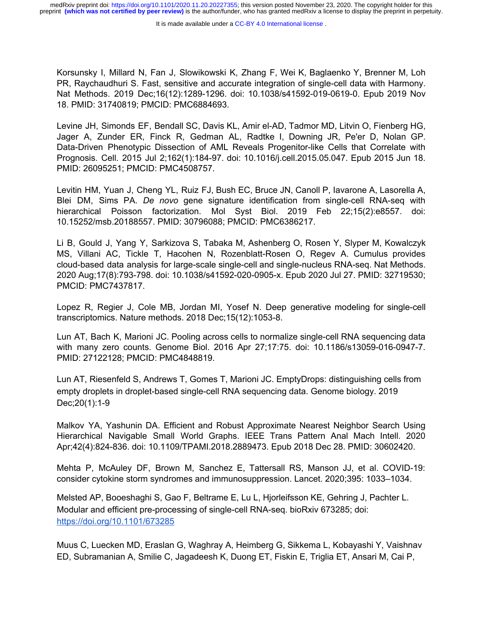It is made available under a CC-BY 4.0 International license.

Korsunsky I, Millard N, Fan J, Slowikowski K, Zhang F, Wei K, Baglaenko Y, Brenner M, Loh PR, Raychaudhuri S. Fast, sensitive and accurate integration of single-cell data with Harmony. Nat Methods. 2019 Dec;16(12):1289-1296. doi: 10.1038/s41592-019-0619-0. Epub 2019 Nov 18. PMID: 31740819; PMCID: PMC6884693.

Levine JH, Simonds EF, Bendall SC, Davis KL, Amir el-AD, Tadmor MD, Litvin O, Fienberg HG, Jager A, Zunder ER, Finck R, Gedman AL, Radtke I, Downing JR, Pe'er D, Nolan GP. Data-Driven Phenotypic Dissection of AML Reveals Progenitor-like Cells that Correlate with Prognosis. Cell. 2015 Jul 2;162(1):184-97. doi: 10.1016/j.cell.2015.05.047. Epub 2015 Jun 18. PMID: 26095251; PMCID: PMC4508757.

Levitin HM, Yuan J, Cheng YL, Ruiz FJ, Bush EC, Bruce JN, Canoll P, Iavarone A, Lasorella A, Blei DM, Sims PA. *De novo* gene signature identification from single-cell RNA-seq with hierarchical Poisson factorization. Mol Syst Biol. 2019 Feb 22;15(2):e8557. doi: 10.15252/msb.20188557. PMID: 30796088; PMCID: PMC6386217.

Li B, Gould J, Yang Y, Sarkizova S, Tabaka M, Ashenberg O, Rosen Y, Slyper M, Kowalczyk MS, Villani AC, Tickle T, Hacohen N, Rozenblatt-Rosen O, Regev A. Cumulus provides cloud-based data analysis for large-scale single-cell and single-nucleus RNA-seq. Nat Methods. 2020 Aug;17(8):793-798. doi: 10.1038/s41592-020-0905-x. Epub 2020 Jul 27. PMID: 32719530; PMCID: PMC7437817.

Lopez R, Regier J, Cole MB, Jordan MI, Yosef N. Deep generative modeling for single-cell transcriptomics. Nature methods. 2018 Dec;15(12):1053-8.

Lun AT, Bach K, Marioni JC. Pooling across cells to normalize single-cell RNA sequencing data with many zero counts. Genome Biol. 2016 Apr 27;17:75. doi: 10.1186/s13059-016-0947-7. PMID: 27122128; PMCID: PMC4848819.

Lun AT, Riesenfeld S, Andrews T, Gomes T, Marioni JC. EmptyDrops: distinguishing cells from empty droplets in droplet-based single-cell RNA sequencing data. Genome biology. 2019 Dec;20(1):1-9

Malkov YA, Yashunin DA. Efficient and Robust Approximate Nearest Neighbor Search Using Hierarchical Navigable Small World Graphs. IEEE Trans Pattern Anal Mach Intell. 2020 Apr;42(4):824-836. doi: 10.1109/TPAMI.2018.2889473. Epub 2018 Dec 28. PMID: 30602420.

Mehta P, McAuley DF, Brown M, Sanchez E, Tattersall RS, Manson JJ, et al. COVID-19: consider cytokine storm syndromes and immunosuppression. Lancet. 2020;395: 1033–1034.

Melsted AP, Booeshaghi S, Gao F, Beltrame E, Lu L, Hjorleifsson KE, Gehring J, Pachter L. Modular and efficient pre-processing of single-cell RNA-seq. bioRxiv 673285; doi: <https://doi.org/10.1101/673285>

Muus C, Luecken MD, Eraslan G, Waghray A, Heimberg G, Sikkema L, Kobayashi Y, Vaishnav ED, Subramanian A, Smilie C, Jagadeesh K, Duong ET, Fiskin E, Triglia ET, Ansari M, Cai P,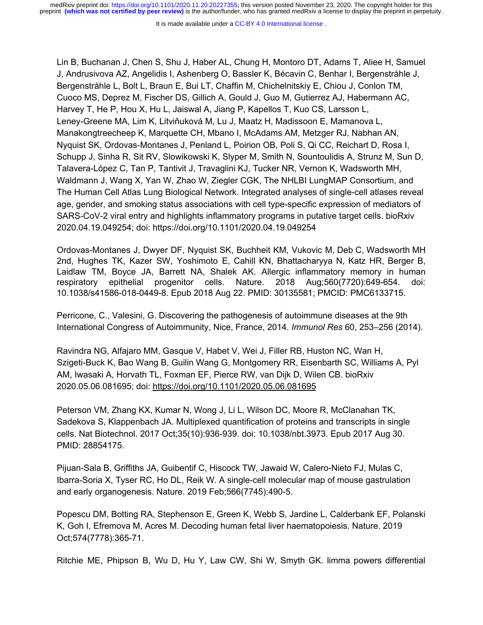It is made available under a CC-BY 4.0 International license.

Lin B, Buchanan J, Chen S, Shu J, Haber AL, Chung H, Montoro DT, Adams T, Aliee H, Samuel J, Andrusivova AZ, Angelidis I, Ashenberg O, Bassler K, Bécavin C, Benhar I, Bergenstråhle J, Bergenstråhle L, Bolt L, Braun E, Bui LT, Chaffin M, Chichelnitskiy E, Chiou J, Conlon TM, Cuoco MS, Deprez M, Fischer DS, Gillich A, Gould J, Guo M, Gutierrez AJ, Habermann AC, Harvey T, He P, Hou X, Hu L, Jaiswal A, Jiang P, Kapellos T, Kuo CS, Larsson L, Leney-Greene MA, Lim K, Litviňuková M, Lu J, Maatz H, Madissoon E, Mamanova L, Manakongtreecheep K, Marquette CH, Mbano I, McAdams AM, Metzger RJ, Nabhan AN, Nyquist SK, Ordovas-Montanes J, Penland L, Poirion OB, Poli S, Qi CC, Reichart D, Rosa I, Schupp J, Sinha R, Sit RV, Slowikowski K, Slyper M, Smith N, Sountoulidis A, Strunz M, Sun D, Talavera-López C, Tan P, Tantivit J, Travaglini KJ, Tucker NR, Vernon K, Wadsworth MH, Waldmann J, Wang X, Yan W, Zhao W, Ziegler CGK, The NHLBI LungMAP Consortium, and The Human Cell Atlas Lung Biological Network. Integrated analyses of single-cell atlases reveal age, gender, and smoking status associations with cell type-specific expression of mediators of SARS-CoV-2 viral entry and highlights inflammatory programs in putative target cells. bioRxiv 2020.04.19.049254; doi: https://doi.org/10.1101/2020.04.19.049254

Ordovas-Montanes J, Dwyer DF, Nyquist SK, Buchheit KM, Vukovic M, Deb C, Wadsworth MH 2nd, Hughes TK, Kazer SW, Yoshimoto E, Cahill KN, Bhattacharyya N, Katz HR, Berger B, Laidlaw TM, Boyce JA, Barrett NA, Shalek AK. Allergic inflammatory memory in human respiratory epithelial progenitor cells. Nature. 2018 Aug;560(7720):649-654. doi: 10.1038/s41586-018-0449-8. Epub 2018 Aug 22. PMID: 30135581; PMCID: PMC6133715.

Perricone, C., Valesini, G. Discovering the pathogenesis of autoimmune diseases at the 9th International Congress of Autoimmunity, Nice, France, 2014. *Immunol Res* 60, 253–256 (2014).

Ravindra NG, Alfajaro MM, Gasque V, Habet V, Wei J, Filler RB, Huston NC, Wan H, Szigeti-Buck K, Bao Wang B, Guilin Wang G, Montgomery RR, Eisenbarth SC, Williams A, Pyl AM, Iwasaki A, Horvath TL, Foxman EF, Pierce RW, van Dijk D, Wilen CB. bioRxiv 2020.05.06.081695; doi: <https://doi.org/10.1101/2020.05.06.081695>

Peterson VM, Zhang KX, Kumar N, Wong J, Li L, Wilson DC, Moore R, McClanahan TK, Sadekova S, Klappenbach JA. Multiplexed quantification of proteins and transcripts in single cells. Nat Biotechnol. 2017 Oct;35(10):936-939. doi: 10.1038/nbt.3973. Epub 2017 Aug 30. PMID: 28854175.

Pijuan-Sala B, Griffiths JA, Guibentif C, Hiscock TW, Jawaid W, Calero-Nieto FJ, Mulas C, Ibarra-Soria X, Tyser RC, Ho DL, Reik W. A single-cell molecular map of mouse gastrulation and early organogenesis. Nature. 2019 Feb;566(7745):490-5.

Popescu DM, Botting RA, Stephenson E, Green K, Webb S, Jardine L, Calderbank EF, Polanski K, Goh I, Efremova M, Acres M. Decoding human fetal liver haematopoiesis. Nature. 2019 Oct;574(7778):365-71.

Ritchie ME, Phipson B, Wu D, Hu Y, Law CW, Shi W, Smyth GK. limma powers differential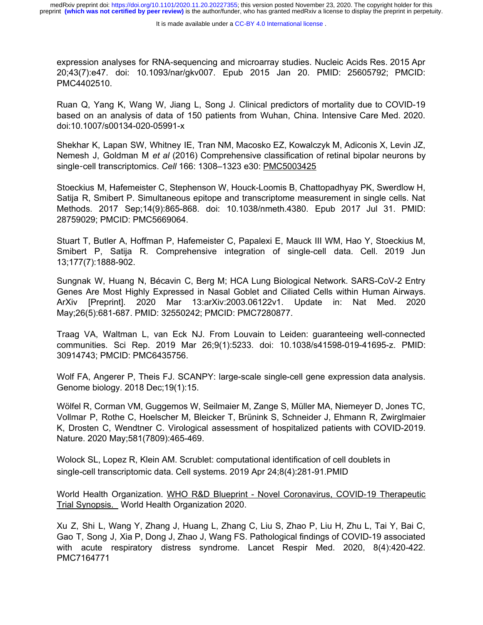expression analyses for RNA-sequencing and microarray studies. Nucleic Acids Res. 2015 Apr 20;43(7):e47. doi: 10.1093/nar/gkv007. Epub 2015 Jan 20. PMID: 25605792; PMCID: PMC4402510.

Ruan Q, Yang K, Wang W, Jiang L, Song J. Clinical predictors of mortality due to COVID-19 based on an analysis of data of 150 patients from Wuhan, China. Intensive Care Med. 2020. doi:10.1007/s00134-020-05991-x

Shekhar K, Lapan SW, Whitney IE, Tran NM, Macosko EZ, Kowalczyk M, Adiconis X, Levin JZ, Nemesh J, Goldman M *et al* (2016) Comprehensive classification of retinal bipolar neurons by single-cell transcriptomics. *Cell* 166: 1308–1323 e30: [PMC5003425](https://www.ncbi.nlm.nih.gov/pmc/articles/PMC5003425/)

Stoeckius M, Hafemeister C, Stephenson W, Houck-Loomis B, Chattopadhyay PK, Swerdlow H, Satija R, Smibert P. Simultaneous epitope and transcriptome measurement in single cells. Nat Methods. 2017 Sep;14(9):865-868. doi: 10.1038/nmeth.4380. Epub 2017 Jul 31. PMID: 28759029; PMCID: PMC5669064.

Stuart T, Butler A, Hoffman P, Hafemeister C, Papalexi E, Mauck III WM, Hao Y, Stoeckius M, Smibert P, Satija R. Comprehensive integration of single-cell data. Cell. 2019 Jun 13;177(7):1888-902.

Sungnak W, Huang N, Bécavin C, Berg M; HCA Lung Biological Network. SARS-CoV-2 Entry Genes Are Most Highly Expressed in Nasal Goblet and Ciliated Cells within Human Airways. ArXiv [Preprint]. 2020 Mar 13:arXiv:2003.06122v1. Update in: Nat Med. 2020 May;26(5):681-687. PMID: 32550242; PMCID: PMC7280877.

Traag VA, Waltman L, van Eck NJ. From Louvain to Leiden: guaranteeing well-connected communities. Sci Rep. 2019 Mar 26;9(1):5233. doi: 10.1038/s41598-019-41695-z. PMID: 30914743; PMCID: PMC6435756.

Wolf FA, Angerer P, Theis FJ. SCANPY: large-scale single-cell gene expression data analysis. Genome biology. 2018 Dec;19(1):15.

Wölfel R, Corman VM, Guggemos W, Seilmaier M, Zange S, Müller MA, Niemeyer D, Jones TC, Vollmar P, Rothe C, Hoelscher M, Bleicker T, Brünink S, Schneider J, Ehmann R, Zwirglmaier K, Drosten C, Wendtner C. Virological assessment of hospitalized patients with COVID-2019. Nature. 2020 May;581(7809):465-469.

Wolock SL, Lopez R, Klein AM. Scrublet: computational identification of cell doublets in single-cell transcriptomic data. Cell systems. 2019 Apr 24;8(4):281-91.PMID

World Health Organization. [WHO R&D Blueprint - Novel Coronavirus, COVID-19 Therapeutic](https://www.who.int/blueprint/priority-diseases/key-action/COVID-19_Treatment_Trial_Design_Master_Protocol_synopsis_Final_18022020.pdf) [Trial Synopsis.](https://www.who.int/blueprint/priority-diseases/key-action/COVID-19_Treatment_Trial_Design_Master_Protocol_synopsis_Final_18022020.pdf) World Health Organization 2020.

Xu Z, Shi L, Wang Y, Zhang J, Huang L, Zhang C, Liu S, Zhao P, Liu H, Zhu L, Tai Y, Bai C, Gao T, Song J, Xia P, Dong J, Zhao J, Wang FS. Pathological findings of COVID-19 associated with acute respiratory distress syndrome. Lancet Respir Med. 2020, 8(4):420-422. PMC7164771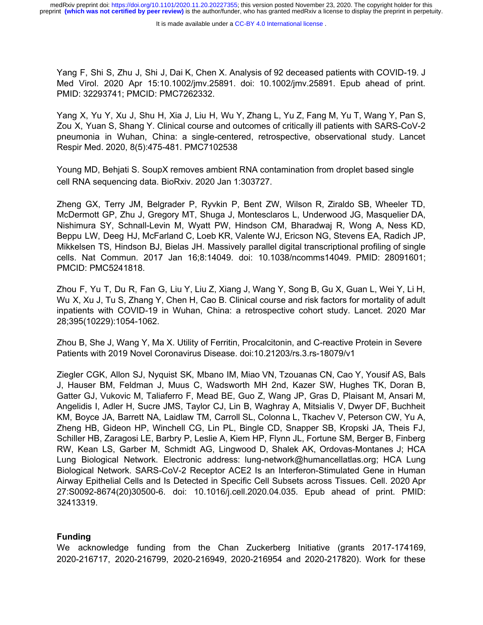Yang F, Shi S, Zhu J, Shi J, Dai K, Chen X. Analysis of 92 deceased patients with COVID-19. J Med Virol. 2020 Apr 15:10.1002/jmv.25891. doi: 10.1002/jmv.25891. Epub ahead of print. PMID: 32293741; PMCID: PMC7262332.

Yang X, Yu Y, Xu J, Shu H, Xia J, Liu H, Wu Y, Zhang L, Yu Z, Fang M, Yu T, Wang Y, Pan S, Zou X, Yuan S, Shang Y. Clinical course and outcomes of critically ill patients with SARS-CoV-2 pneumonia in Wuhan, China: a single-centered, retrospective, observational study. Lancet Respir Med. 2020, 8(5):475-481. PMC7102538

Young MD, Behjati S. SoupX removes ambient RNA contamination from droplet based single cell RNA sequencing data. BioRxiv. 2020 Jan 1:303727.

Zheng GX, Terry JM, Belgrader P, Ryvkin P, Bent ZW, Wilson R, Ziraldo SB, Wheeler TD, McDermott GP, Zhu J, Gregory MT, Shuga J, Montesclaros L, Underwood JG, Masquelier DA, Nishimura SY, Schnall-Levin M, Wyatt PW, Hindson CM, Bharadwaj R, Wong A, Ness KD, Beppu LW, Deeg HJ, McFarland C, Loeb KR, Valente WJ, Ericson NG, Stevens EA, Radich JP, Mikkelsen TS, Hindson BJ, Bielas JH. Massively parallel digital transcriptional profiling of single cells. Nat Commun. 2017 Jan 16;8:14049. doi: 10.1038/ncomms14049. PMID: 28091601; PMCID: PMC5241818.

Zhou F, Yu T, Du R, Fan G, Liu Y, Liu Z, Xiang J, Wang Y, Song B, Gu X, Guan L, Wei Y, Li H, Wu X, Xu J, Tu S, Zhang Y, Chen H, Cao B. Clinical course and risk factors for mortality of adult inpatients with COVID-19 in Wuhan, China: a retrospective cohort study. Lancet. 2020 Mar 28;395(10229):1054-1062.

Zhou B, She J, Wang Y, Ma X. Utility of Ferritin, Procalcitonin, and C-reactive Protein in Severe Patients with 2019 Novel Coronavirus Disease. doi:10.21203/rs.3.rs-18079/v1

Ziegler CGK, Allon SJ, Nyquist SK, Mbano IM, Miao VN, Tzouanas CN, Cao Y, Yousif AS, Bals J, Hauser BM, Feldman J, Muus C, Wadsworth MH 2nd, Kazer SW, Hughes TK, Doran B, Gatter GJ, Vukovic M, Taliaferro F, Mead BE, Guo Z, Wang JP, Gras D, Plaisant M, Ansari M, Angelidis I, Adler H, Sucre JMS, Taylor CJ, Lin B, Waghray A, Mitsialis V, Dwyer DF, Buchheit KM, Boyce JA, Barrett NA, Laidlaw TM, Carroll SL, Colonna L, Tkachev V, Peterson CW, Yu A, Zheng HB, Gideon HP, Winchell CG, Lin PL, Bingle CD, Snapper SB, Kropski JA, Theis FJ, Schiller HB, Zaragosi LE, Barbry P, Leslie A, Kiem HP, Flynn JL, Fortune SM, Berger B, Finberg RW, Kean LS, Garber M, Schmidt AG, Lingwood D, Shalek AK, Ordovas-Montanes J; HCA Lung Biological Network. Electronic address: lung-network@humancellatlas.org; HCA Lung Biological Network. SARS-CoV-2 Receptor ACE2 Is an Interferon-Stimulated Gene in Human Airway Epithelial Cells and Is Detected in Specific Cell Subsets across Tissues. Cell. 2020 Apr 27:S0092-8674(20)30500-6. doi: 10.1016/j.cell.2020.04.035. Epub ahead of print. PMID: 32413319.

#### **Funding**

We acknowledge funding from the Chan Zuckerberg Initiative (grants 2017-174169, 2020-216717, 2020-216799, 2020-216949, 2020-216954 and 2020-217820). Work for these